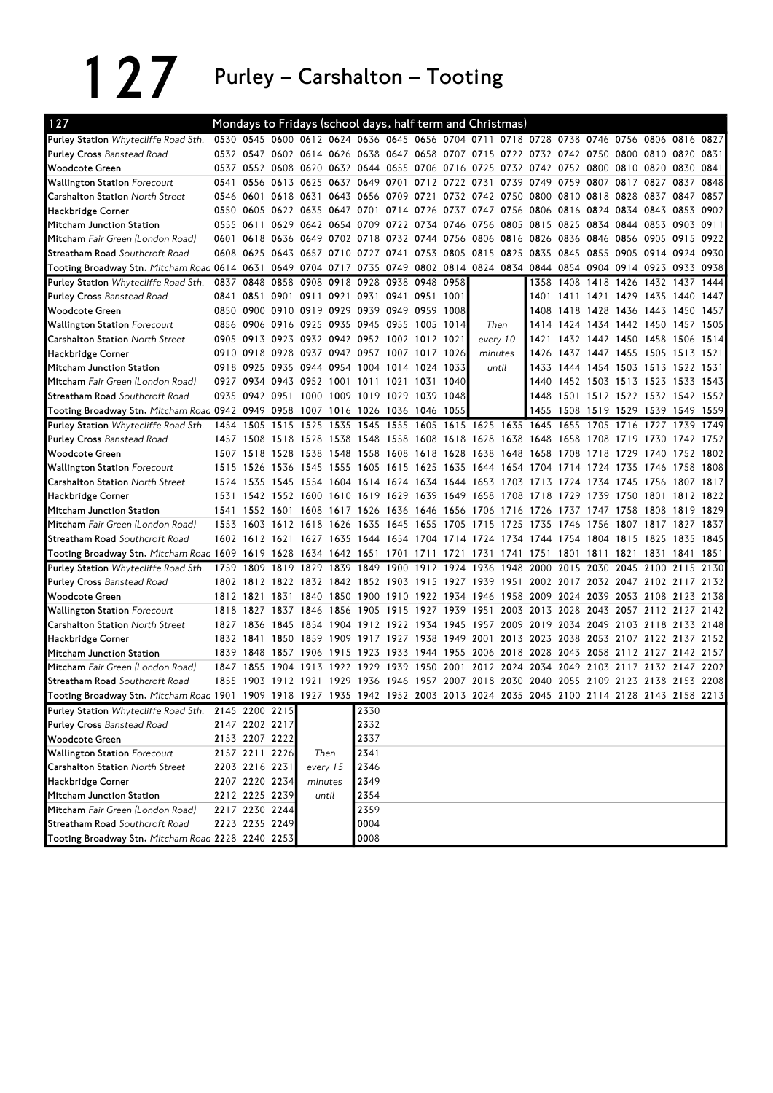127 Purley – Carshalton – Tooting

| 127                                                                                                                          |           |                          |           |                |         |                                              |                     |                |                | Mondays to Fridays (school days, half term and Christmas)                                 |                |           |                                    |      |                               |                     |           |      |
|------------------------------------------------------------------------------------------------------------------------------|-----------|--------------------------|-----------|----------------|---------|----------------------------------------------|---------------------|----------------|----------------|-------------------------------------------------------------------------------------------|----------------|-----------|------------------------------------|------|-------------------------------|---------------------|-----------|------|
| <b>Purley Station</b> Whytecliffe Road Sth.                                                                                  |           |                          |           |                |         |                                              |                     |                |                | 0530 0545 0600 0612 0624 0636 0645 0656 0704 0711 0718 0728 0738 0746 0756 0806 0816 0827 |                |           |                                    |      |                               |                     |           |      |
| Purley Cross Banstead Road                                                                                                   |           |                          |           |                |         |                                              |                     |                |                | 0532 0547 0602 0614 0626 0638 0647 0658 0707 0715 0722 0732 0742 0750 0800 0810 0820      |                |           |                                    |      |                               |                     |           | 0831 |
| <b>Woodcote Green</b>                                                                                                        |           |                          |           |                |         |                                              |                     |                |                | 0537 0552 0608 0620 0632 0644 0655 0706 0716 0725 0732 0742 0752 0800 0810 0820 0830 0841 |                |           |                                    |      |                               |                     |           |      |
| <b>Wallington Station Forecourt</b>                                                                                          | 0541      |                          |           |                |         | 0556 0613 0625 0637 0649 0701                |                     |                | 0712 0722 0731 |                                                                                           | 0739           | 0749      | 0759                               | 0807 |                               | 0817 0827 0837 0848 |           |      |
| <b>Carshalton Station North Street</b>                                                                                       | 0546      | 0601                     |           |                |         |                                              |                     |                |                | 0618 0631 0643 0656 0709 0721 0732 0742 0750 0800 0810 0818 0828 0837 0847 0857           |                |           |                                    |      |                               |                     |           |      |
| Hackbridge Corner                                                                                                            |           |                          |           |                |         |                                              |                     |                |                | 0550 0605 0622 0635 0647 0701 0714 0726 0737 0747 0756 0806 0816 0824 0834 0843 0853 0902 |                |           |                                    |      |                               |                     |           |      |
| Mitcham Junction Station                                                                                                     | 0555      | 0611                     |           |                |         | 0629 0642 0654 0709 0722 0734 0746           |                     |                |                | 0756 0805 0815 0825                                                                       |                |           |                                    |      | 0834 0844 0853 0903 0911      |                     |           |      |
| Mitcham Fair Green (London Road)                                                                                             | 0601      |                          |           |                |         | 0618 0636 0649 0702 0718 0732 0744 0756      |                     |                |                | 0806 0816 0826 0836 0846                                                                  |                |           |                                    |      | 0856 0905 0915 0922           |                     |           |      |
| Streatham Road Southcroft Road                                                                                               | 0608      |                          |           |                |         |                                              |                     |                |                | 0625 0643 0657 0710 0727 0741 0753 0805 0815 0825 0835 0845 0855 0905 0914 0924 0930      |                |           |                                    |      |                               |                     |           |      |
| Tooting Broadway Stn. Mitcham Roac 0614 0631                                                                                 |           |                          |           | 0649 0704 0717 |         | 0735 0749                                    |                     |                |                | 0802 0814 0824 0834 0844 0854 0904 0914 0923 0933 0938                                    |                |           |                                    |      |                               |                     |           |      |
| Purley Station Whytecliffe Road Sth.                                                                                         |           | 0837 0848                |           |                |         | 0858 0908 0918 0928 0938 0948 0958           |                     |                |                |                                                                                           |                |           | 1358 1408 1418 1426 1432 1437      |      |                               |                     |           | 1444 |
| <b>Purley Cross Banstead Road</b>                                                                                            | 0841      |                          | 0851 0901 | 0911 0921      |         |                                              | 0931 0941 0951 1001 |                |                |                                                                                           |                |           | 1401 1411 1421 1429 1435 1440 1447 |      |                               |                     |           |      |
| <b>Woodcote Green</b>                                                                                                        | 0850      |                          |           |                |         | 0900 0910 0919 0929 0939 0949 0959 1008      |                     |                |                |                                                                                           |                | 1408      |                                    |      | 1418 1428 1436 1443 1450 1457 |                     |           |      |
| <b>Wallington Station Forecourt</b>                                                                                          |           |                          |           |                |         | 0856 0906 0916 0925 0935 0945 0955 1005 1014 |                     |                |                | Then                                                                                      |                | 1414      |                                    |      | 1424 1434 1442 1450 1457 1505 |                     |           |      |
| <b>Carshalton Station North Street</b>                                                                                       | 0905      |                          |           |                |         | 0913 0923 0932 0942 0952 1002 1012 1021      |                     |                |                |                                                                                           | every 10       | 1421      |                                    |      | 1432 1442 1450 1458 1506 1514 |                     |           |      |
| Hackbridge Corner                                                                                                            | 0910      |                          |           |                |         | 0918 0928 0937 0947 0957 1007 1017 1026      |                     |                |                | minutes                                                                                   |                | 1426      |                                    |      | 1437 1447 1455 1505 1513 1521 |                     |           |      |
| Mitcham Junction Station                                                                                                     |           |                          |           |                |         | 0918 0925 0935 0944 0954 1004 1014 1024 1033 |                     |                |                | until                                                                                     |                | 1433      |                                    |      | 1444 1454 1503 1513 1522 1531 |                     |           |      |
| Mitcham Fair Green (London Road)                                                                                             |           | 0927 0934 0943 0952 1001 |           |                |         | 1011                                         |                     | 1021 1031 1040 |                |                                                                                           |                | 1440      |                                    |      | 1452 1503 1513 1523 1533 1543 |                     |           |      |
| Streatham Road Southcroft Road                                                                                               | 0935      |                          |           |                |         | 0942 0951 1000 1009 1019 1029 1039 1048      |                     |                |                |                                                                                           |                | 1448      | 1501 1512 1522 1532 1542 1552      |      |                               |                     |           |      |
| Tooting Broadway Stn. Mitcham Roac 0942 0949 0958 1007 1016 1026 1036 1046 1055                                              |           |                          |           |                |         |                                              |                     |                |                |                                                                                           |                | 1455      |                                    |      | 1508 1519 1529 1539 1549 1559 |                     |           |      |
| Purley Station Whytecliffe Road Sth.                                                                                         |           | 1454 1505                |           | 1515 1525      | 1535    | 1545                                         |                     |                |                | 1555 1605 1615 1625 1635 1645                                                             |                |           | 1655                               | 1705 | 1716 1727                     |                     | 1739      | 1749 |
| <b>Purley Cross Banstead Road</b>                                                                                            |           | 1457 1508                | 1518 1528 |                | 1538    |                                              |                     |                |                | 1548 1558 1608 1618 1628 1638 1648                                                        |                |           | 1658 1708                          |      | 1719 1730                     |                     | 1742 1752 |      |
| <b>Woodcote Green</b>                                                                                                        |           | 1507 1518                | 1528 1538 |                | 1548    |                                              |                     |                |                | 1558 1608 1618 1628 1638 1648 1658 1708 1718                                              |                |           |                                    |      | 1729 1740                     |                     | 1752 1802 |      |
| <b>Wallington Station Forecourt</b>                                                                                          |           | 1515 1526 1536 1545 1555 |           |                |         |                                              |                     |                |                | 1605 1615 1625 1635 1644 1654 1704 1714 1724 1735 1746                                    |                |           |                                    |      |                               |                     | 1758      | 1808 |
| <b>Carshalton Station North Street</b>                                                                                       |           |                          |           |                |         |                                              |                     |                |                | 1524 1535 1545 1554 1604 1614 1624 1634 1644 1653 1703 1713                               |                |           | 1724 1734 1745 1756                |      |                               |                     | 1807 1817 |      |
| Hackbridge Corner                                                                                                            |           |                          |           |                |         |                                              |                     |                |                | 1531 1542 1552 1600 1610 1619 1629 1639 1649 1658 1708 1718                               |                |           | 1729                               |      | 1739 1750 1801 1812 1822      |                     |           |      |
| Mitcham Junction Station                                                                                                     | 1541      | 1552 1601                |           |                |         |                                              |                     |                |                | 1608 1617 1626 1636 1646 1656 1706 1716 1726                                              |                |           | 1737                               | 1747 |                               | 1758 1808           | 1819 1829 |      |
| Mitcham Fair Green (London Road)                                                                                             |           | 1553 1603                | 1612 1618 |                | 1626    | 1635 1645 1655 1705                          |                     |                |                | 1715                                                                                      | 1725 1735      |           | 1746                               | 1756 | 1807 1817 1827                |                     |           | 1837 |
| <b>Streatham Road</b> Southcroft Road                                                                                        |           | 1602 1612 1621           |           | 1627 1635      |         |                                              |                     |                |                | 1644 1654 1704 1714 1724 1734 1744                                                        |                |           | 1754 1804 1815 1825                |      |                               |                     | 1835      | 1845 |
| Tooting Broadway Stn. Mitcham Roac 1609                                                                                      |           | 1619 1628 1634 1642 1651 |           |                |         |                                              |                     | 1701 1711 1721 |                | 1731 1741 1751                                                                            |                |           | 1801                               | 1811 | 1821 1831 1841                |                     |           | 1851 |
| Purley Station Whytecliffe Road Sth.                                                                                         | 1759      | 1809                     | 1819 1829 |                | 1839    | 1849                                         |                     |                |                | 1900 1912 1924 1936 1948 2000                                                             |                |           | 2015                               | 2030 |                               | 2045 2100 2115 2130 |           |      |
| <b>Purley Cross Banstead Road</b>                                                                                            |           |                          |           |                |         |                                              |                     |                |                | 1802 1812 1822 1832 1842 1852 1903 1915 1927 1939 1951                                    |                |           | 2002 2017 2032 2047 2102 2117 2132 |      |                               |                     |           |      |
| <b>Woodcote Green</b>                                                                                                        | 1812 1821 |                          | 1831      | 1840           |         |                                              |                     |                |                | 1850 1900 1910 1922 1934 1946 1958 2009 2024 2039                                         |                |           |                                    |      | 2053 2108 2123 2138           |                     |           |      |
| <b>Wallington Station Forecourt</b>                                                                                          | 1818      | 1827                     |           | 1837 1846      | 1856    | 1905                                         | 1915 1927 1939      |                |                | 1951                                                                                      |                | 2003 2013 | 2028                               | 2043 |                               | 2057 2112 2127      |           | 2142 |
| <b>Carshalton Station North Street</b>                                                                                       |           | 1827 1836                | 1845 1854 |                | 1904    |                                              | 1912 1922 1934 1945 |                |                | 1957 2009 2019                                                                            |                |           | 2034                               | 2049 |                               | 2103 2118 2133 2148 |           |      |
| Hackbridge Corner                                                                                                            |           | 1832 1841                |           | 1850 1859      | 1909    |                                              |                     |                |                | 1917 1927 1938 1949 2001 2013 2023 2038 2053 2107 2122 2137 2152                          |                |           |                                    |      |                               |                     |           |      |
| Mitcham Junction Station                                                                                                     | 1839      | 1848                     |           | 1857 1906      | 1915    | 1923 1933 1944 1955                          |                     |                |                | 2006 2018 2028 2043 2058                                                                  |                |           |                                    |      | 2112 2127 2142 2157           |                     |           |      |
| Mitcham Fair Green (London Road)                                                                                             |           | 1847 1855                | 1904      | 1913           |         | 1922 1929                                    | 1939 1950 2001      |                |                |                                                                                           | 2012 2024 2034 |           | 2049                               | 2103 |                               | 2117 2132 2147 2202 |           |      |
| <b>Streatham Road</b> Southcroft Road                                                                                        |           |                          |           |                |         |                                              |                     |                |                | 1855 1903 1912 1921 1929 1936 1946 1957 2007 2018 2030 2040 2055 2109 2123 2138 2153 2208 |                |           |                                    |      |                               |                     |           |      |
| Tooting Broadway Stn. Mitcham Roac 1901 1909 1918 1927 1935 1942 1952 2003 2013 2024 2035 2045 2100 2114 2128 2143 2158 2213 |           |                          |           |                |         |                                              |                     |                |                |                                                                                           |                |           |                                    |      |                               |                     |           |      |
| Purley Station Whytecliffe Road Sth. 2145 2200 2215                                                                          |           |                          |           |                |         | 2330                                         |                     |                |                |                                                                                           |                |           |                                    |      |                               |                     |           |      |
| <b>Purley Cross Banstead Road</b>                                                                                            |           | 2147 2202 2217           |           |                |         | 2332                                         |                     |                |                |                                                                                           |                |           |                                    |      |                               |                     |           |      |
| <b>Woodcote Green</b>                                                                                                        |           | 2153 2207 2222           |           |                |         | 2337                                         |                     |                |                |                                                                                           |                |           |                                    |      |                               |                     |           |      |
| <b>Wallington Station Forecourt</b>                                                                                          |           | 2157 2211 2226           |           | Then           |         | 2341                                         |                     |                |                |                                                                                           |                |           |                                    |      |                               |                     |           |      |
| Carshalton Station North Street                                                                                              |           | 2203 2216 2231           |           | every 15       |         | 2346                                         |                     |                |                |                                                                                           |                |           |                                    |      |                               |                     |           |      |
| Hackbridge Corner                                                                                                            |           | 2207 2220 2234           |           |                | minutes | 2349                                         |                     |                |                |                                                                                           |                |           |                                    |      |                               |                     |           |      |
| Mitcham Junction Station                                                                                                     |           | 2212 2225 2239           |           |                | until   | 2354                                         |                     |                |                |                                                                                           |                |           |                                    |      |                               |                     |           |      |
| Mitcham Fair Green (London Road)                                                                                             |           | 2217 2230 2244           |           |                |         | 2359                                         |                     |                |                |                                                                                           |                |           |                                    |      |                               |                     |           |      |
| Streatham Road Southcroft Road                                                                                               |           | 2223 2235 2249           |           |                |         | 0004                                         |                     |                |                |                                                                                           |                |           |                                    |      |                               |                     |           |      |
| Tooting Broadway Stn. Mitcham Roac 2228 2240 2253                                                                            |           |                          |           |                |         | 0008                                         |                     |                |                |                                                                                           |                |           |                                    |      |                               |                     |           |      |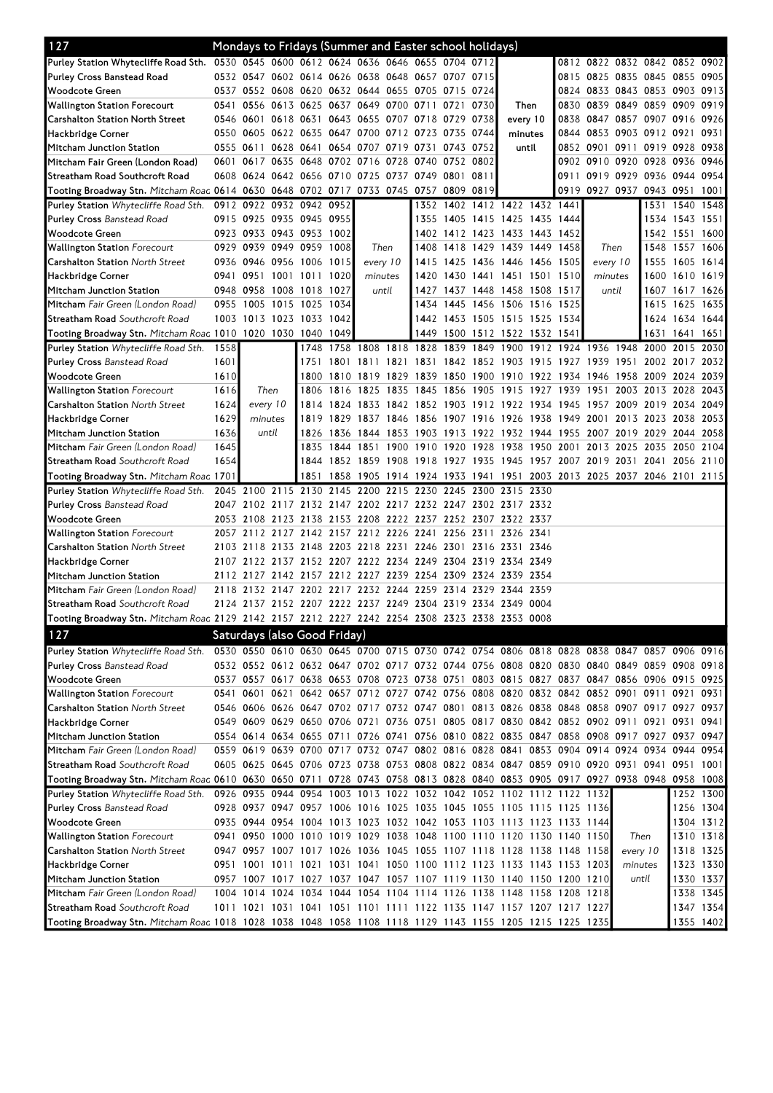| 127                                                                                                                            |      | Mondays to Fridays (Summer and Easter school holidays) |          |                                    |           |                |       |                     |           |      |                                                                                           |      |                               |                     |                |                |           |
|--------------------------------------------------------------------------------------------------------------------------------|------|--------------------------------------------------------|----------|------------------------------------|-----------|----------------|-------|---------------------|-----------|------|-------------------------------------------------------------------------------------------|------|-------------------------------|---------------------|----------------|----------------|-----------|
| Purley Station Whytecliffe Road Sth. 0530 0545 0600 0612 0624 0636 0646 0655 0704 0712                                         |      |                                                        |          |                                    |           |                |       |                     |           |      |                                                                                           |      | 0812 0822 0832 0842 0852 0902 |                     |                |                |           |
| <b>Purley Cross Banstead Road</b>                                                                                              |      | 0532 0547 0602 0614 0626 0638 0648 0657 0707 0715      |          |                                    |           |                |       |                     |           |      |                                                                                           |      | 0815 0825 0835 0845 0855 0905 |                     |                |                |           |
| Woodcote Green                                                                                                                 |      | 0537 0552 0608 0620 0632 0644 0655 0705 0715           |          |                                    |           |                |       |                     |           | 0724 |                                                                                           |      | 0824 0833 0843 0853 0903 0913 |                     |                |                |           |
| Wallington Station Forecourt                                                                                                   |      | 0541 0556 0613 0625 0637 0649 0700 0711 0721           |          |                                    |           |                |       |                     |           | 0730 | Then                                                                                      |      | 0830 0839 0849 0859 0909      |                     |                |                | 0919      |
| Carshalton Station North Street                                                                                                |      | 0546 0601 0618 0631 0643 0655 0707 0718 0729           |          |                                    |           |                |       |                     |           | 0738 | every 10                                                                                  |      | 0838 0847 0857 0907 0916      |                     |                |                | 09261     |
| Hackbridge Corner                                                                                                              |      | 0550 0605 0622 0635 0647 0700 0712 0723 0735 0744      |          |                                    |           |                |       |                     |           |      | minutes                                                                                   |      | 0844 0853 0903 0912 0921      |                     |                |                | 0931      |
| Mitcham Junction Station                                                                                                       |      | 0555 0611 0628 0641 0654 0707 0719 0731 0743 0752      |          |                                    |           |                |       |                     |           |      | until                                                                                     |      | 0852 0901 0911 0919 0928 0938 |                     |                |                |           |
| Mitcham Fair Green (London Road)                                                                                               |      | 0601 0617 0635 0648 0702 0716 0728 0740 0752 0802      |          |                                    |           |                |       |                     |           |      |                                                                                           |      | 0902 0910 0920 0928 0936      |                     |                |                | 0946      |
| Streatham Road Southcroft Road                                                                                                 |      | 0608 0624 0642 0656 0710 0725                          |          |                                    |           |                |       | 0737 0749 0801      |           | 0811 |                                                                                           | 0911 | 0919 0929 0936                |                     |                | 0944 0954      |           |
| Tooting Broadway Stn. Mitcham Roac 0614 0630 0648 0702 0717 0733 0745 0757 0809                                                |      |                                                        |          |                                    |           |                |       |                     |           | 0819 |                                                                                           | 0919 | 0927 0937 0943 0951 1001      |                     |                |                |           |
| Purley Station Whytecliffe Road Sth.                                                                                           |      | 0912 0922 0932 0942 0952                               |          |                                    |           |                |       |                     |           |      | 1352 1402 1412 1422 1432 1441                                                             |      |                               |                     |                | 1531 1540 1548 |           |
| <b>Purley Cross Banstead Road</b>                                                                                              |      | 0915 0925 0935 0945 0955                               |          |                                    |           |                |       |                     | 1355 1405 |      | 1415 1425 1435                                                                            | 1444 |                               |                     |                | 1534 1543 1551 |           |
| Woodcote Green                                                                                                                 |      | 0923 0933 0943 0953 1002                               |          |                                    |           |                |       |                     |           |      | 1402 1412 1423 1433 1443 1452                                                             |      |                               |                     |                | 1542 1551 1600 |           |
| <b>Wallington Station</b> Forecourt                                                                                            |      | 0929 0939 0949 0959 1008                               |          |                                    |           | Then           |       |                     |           |      | 1408 1418 1429 1439 1449 1458                                                             |      | Then                          |                     | 1548           | 1557 1606      |           |
| <b>Carshalton Station North Street</b>                                                                                         |      | 0936 0946 0956 1006 1015                               |          |                                    |           | every 10       |       |                     | 1415 1425 |      | 1436 1446 1456                                                                            | 1505 | every 10                      |                     | 1555           | 1605 1614      |           |
| Hackbridge Corner                                                                                                              |      | 0941 0951 1001 1011                                    |          |                                    | 1020      | minutes        |       |                     | 1420 1430 |      | 1441 1451 1501 1510                                                                       |      | minutes                       |                     |                | 1600 1610 1619 |           |
| Mitcham Junction Station                                                                                                       |      | 0948 0958 1008 1018 1027                               |          |                                    |           |                | until |                     |           |      | 1427 1437 1448 1458 1508 1517                                                             |      | until                         |                     |                | 1607 1617 1626 |           |
| Mitcham Fair Green (London Road)                                                                                               |      | 0955 1005 1015 1025 1034                               |          |                                    |           |                |       |                     | 1434 1445 |      | 1456 1506 1516 1525                                                                       |      |                               |                     | 1615           | 1625 1635      |           |
| <b>Streatham Road</b> Southcroft Road                                                                                          |      | 1003 1013 1023 1033 1042                               |          |                                    |           |                |       |                     |           |      | 1442 1453 1505 1515 1525 1534                                                             |      |                               |                     |                | 1624 1634 1644 |           |
| Tooting Broadway Stn. Mitcham Roac 1010 1020 1030 1040 1049                                                                    |      |                                                        |          |                                    |           |                |       |                     |           |      | 1449 1500 1512 1522 1532 1541                                                             |      |                               |                     |                | 1631 1641 1651 |           |
| Purley Station Whytecliffe Road Sth.                                                                                           | 1558 |                                                        |          |                                    | 1748 1758 | 1808 1818 1828 |       |                     | 1839      | 1849 | 1900                                                                                      |      | 1912 1924 1936 1948           |                     | 2000           | 2015           | 2030      |
| <b>Purley Cross Banstead Road</b>                                                                                              | 1601 |                                                        |          | 1751                               | 1801      |                |       |                     |           |      | 1811 1821 1831 1842 1852 1903 1915                                                        | 1927 | 1939 1951                     |                     | 2002 2017      |                | 2032      |
| Woodcote Green                                                                                                                 | 1610 |                                                        |          |                                    |           |                |       |                     |           |      | 1800 1810 1819 1829 1839 1850 1900 1910 1922 1934 1946 1958 2009                          |      |                               |                     |                | 2024           | 2039      |
| <b>Wallington Station</b> Forecourt                                                                                            | 1616 |                                                        | Then     | 1806                               | 1816      | 1825           | 1835  | 1845 1856           |           |      | 1905 1915 1927                                                                            | 1939 | 1951                          |                     | 2003 2013 2028 |                | 2043      |
| <b>Carshalton Station</b> North Street                                                                                         | 1624 |                                                        | every 10 |                                    |           |                |       |                     |           |      | 1814 1824 1833 1842 1852 1903 1912 1922 1934 1945 1957 2009 2019 2034 2049                |      |                               |                     |                |                |           |
| Hackbridge Corner                                                                                                              | 1629 | minutes                                                |          |                                    |           |                |       |                     |           |      | 1819 1829 1837 1846 1856 1907 1916 1926 1938 1949 2001                                    |      |                               | 2013 2023 2038 2053 |                |                |           |
| Mitcham Junction Station                                                                                                       | 1636 |                                                        | until    |                                    |           |                |       |                     |           |      | 1826 1836 1844 1853 1903 1913 1922 1932 1944 1955 2007                                    |      |                               | 2019 2029 2044      |                |                | 2058      |
| Mitcham Fair Green (London Road)                                                                                               | 1645 |                                                        |          | 1835                               | 1844      |                |       | 1851 1900 1910 1920 |           |      | 1928 1938 1950 2001                                                                       |      | 2013 2025 2035                |                     |                | 2050           | 2104      |
| <b>Streatham Road</b> Southcroft Road                                                                                          | 1654 |                                                        |          |                                    |           |                |       |                     |           |      | 1844 1852 1859 1908 1918 1927 1935 1945 1957 2007 2019 2031 2041 2056 2110                |      |                               |                     |                |                |           |
| Tooting Broadway Stn. Mitcham Roac 1701                                                                                        |      |                                                        |          | 1851                               |           |                |       |                     |           |      | 1858 1905 1914 1924 1933 1941 1951 2003 2013 2025 2037 2046 2101 2115                     |      |                               |                     |                |                |           |
| Purley Station Whytecliffe Road Sth.                                                                                           |      | 2045 2100 2115 2130 2145 2200 2215 2230 2245           |          |                                    |           |                |       |                     |           |      | 2300 2315 2330                                                                            |      |                               |                     |                |                |           |
| <b>Purley Cross Banstead Road</b>                                                                                              |      |                                                        |          |                                    |           |                |       |                     |           |      | 2047 2102 2117 2132 2147 2202 2217 2232 2247 2302 2317 2332                               |      |                               |                     |                |                |           |
| Woodcote Green                                                                                                                 |      |                                                        |          |                                    |           |                |       |                     |           |      | 2053 2108 2123 2138 2153 2208 2222 2237 2252 2307 2322 2337                               |      |                               |                     |                |                |           |
| Wallington Station Forecourt                                                                                                   |      |                                                        |          |                                    |           |                |       |                     |           |      | 2057 2112 2127 2142 2157 2212 2226 2241 2256 2311 2326 2341                               |      |                               |                     |                |                |           |
| <b>Carshalton Station North Street</b>                                                                                         |      | 2103 2118                                              |          | 2133 2148 2203 2218 2231 2246 2301 |           |                |       |                     |           |      | 2316 2331 2346                                                                            |      |                               |                     |                |                |           |
| Hackbridge Corner                                                                                                              |      |                                                        |          |                                    |           |                |       |                     |           |      | 2107 2122 2137 2152 2207 2222 2234 2249 2304 2319 2334 2349                               |      |                               |                     |                |                |           |
| Mitcham Junction Station                                                                                                       |      |                                                        |          |                                    |           |                |       |                     |           |      | 2112 2127 2142 2157 2212 2227 2239 2254 2309 2324 2339 2354                               |      |                               |                     |                |                |           |
| Mitcham Fair Green (London Road)                                                                                               |      |                                                        |          |                                    |           |                |       |                     |           |      | 2118 2132 2147 2202 2217 2232 2244 2259 2314 2329 2344 2359                               |      |                               |                     |                |                |           |
| <b>Streatham Road</b> Southcroft Road                                                                                          |      |                                                        |          |                                    |           |                |       |                     |           |      | 2124 2137 2152 2207 2222 2237 2249 2304 2319 2334 2349 0004                               |      |                               |                     |                |                |           |
| Tooting Broadway Stn. Mitcham Roac 2129 2142 2157 2212 2227 2242 2254 2308 2323 2338 2353 0008                                 |      |                                                        |          |                                    |           |                |       |                     |           |      |                                                                                           |      |                               |                     |                |                |           |
| 127                                                                                                                            |      | Saturdays (also Good Friday)                           |          |                                    |           |                |       |                     |           |      |                                                                                           |      |                               |                     |                |                |           |
| Purley Station Whytecliffe Road Sth. 0530 0550 0610 0630 0645 0700 0715 0730 0742 0754 0806 0818 0828 0838 0847 0857 0906 0916 |      |                                                        |          |                                    |           |                |       |                     |           |      |                                                                                           |      |                               |                     |                |                |           |
| <b>Purley Cross Banstead Road</b>                                                                                              |      |                                                        |          |                                    |           |                |       |                     |           |      | 0532 0552 0612 0632 0647 0702 0717 0732 0744 0756 0808 0820 0830 0840 0849 0859 0908 0918 |      |                               |                     |                |                |           |
| Woodcote Green                                                                                                                 |      |                                                        |          |                                    |           |                |       |                     |           |      | 0537 0557 0617 0638 0653 0708 0723 0738 0751 0803 0815 0827 0837 0847 0856 0906 0915 0925 |      |                               |                     |                |                |           |
| <b>Wallington Station</b> Forecourt                                                                                            |      |                                                        |          |                                    |           |                |       |                     |           |      | 0541 0601 0621 0642 0657 0712 0727 0742 0756 0808 0820 0832 0842 0852 0901 0911 0921      |      |                               |                     |                |                | 0931      |
| Carshalton Station North Street                                                                                                |      |                                                        |          |                                    |           |                |       |                     |           |      | 0546 0606 0626 0647 0702 0717 0732 0747 0801 0813 0826 0838 0848 0858 0907 0917 0927 0937 |      |                               |                     |                |                |           |
| Hackbridge Corner                                                                                                              |      |                                                        |          |                                    |           |                |       |                     |           |      | 0549 0609 0629 0650 0706 0721 0736 0751 0805 0817 0830 0842 0852 0902 0911 0921 0931      |      |                               |                     |                |                | 0941      |
| Mitcham Junction Station                                                                                                       |      |                                                        |          |                                    |           |                |       |                     |           |      | 0554 0614 0634 0655 0711 0726 0741 0756 0810 0822 0835 0847 0858 0908 0917 0927 0937 0947 |      |                               |                     |                |                |           |
| Mitcham Fair Green (London Road)                                                                                               |      |                                                        |          |                                    |           |                |       |                     |           |      | 0559 0619 0639 0700 0717 0732 0747 0802 0816 0828 0841 0853 0904 0914 0924 0934 0944 0954 |      |                               |                     |                |                |           |
| Streatham Road Southcroft Road                                                                                                 |      |                                                        |          |                                    |           |                |       |                     |           |      | 0605 0625 0645 0706 0723 0738 0753 0808 0822 0834 0847 0859 0910 0920 0931 0941 0951 1001 |      |                               |                     |                |                |           |
| Tooting Broadway Stn. Mitcham Roac 0610 0630 0650 0711 0728 0743 0758 0813 0828 0840 0853 0905 0917 0927 0938 0948 0958 1008   |      |                                                        |          |                                    |           |                |       |                     |           |      |                                                                                           |      |                               |                     |                |                |           |
| Purley Station Whytecliffe Road Sth.                                                                                           |      |                                                        |          |                                    |           |                |       |                     |           |      | 0926 0935 0944 0954 1003 1013 1022 1032 1042 1052 1102 1112 1122 1132                     |      |                               |                     |                |                | 1252 1300 |
| Purley Cross Banstead Road                                                                                                     |      |                                                        |          |                                    |           |                |       |                     |           |      | 0928 0937 0947 0957 1006 1016 1025 1035 1045 1055 1105 1115 1125 1136                     |      |                               |                     |                |                | 1256 1304 |
| Woodcote Green                                                                                                                 |      |                                                        |          |                                    |           |                |       |                     |           |      | 0935 0944 0954 1004 1013 1023 1032 1042 1053 1103 1113 1123 1133 1144                     |      |                               |                     |                |                | 1304 1312 |
| Wallington Station Forecourt                                                                                                   |      |                                                        |          |                                    |           |                |       |                     |           |      | 0941 0950 1000 1010 1019 1029 1038 1048 1100 1110 1120 1130 1140 1150                     |      |                               | Then                |                |                | 1310 1318 |
| <b>Carshalton Station North Street</b>                                                                                         |      |                                                        |          |                                    |           |                |       |                     |           |      | 0947 0957 1007 1017 1026 1036 1045 1055 1107 1118 1128 1138 1148 1158                     |      |                               | every 10            |                |                | 1318 1325 |
| Hackbridge Corner                                                                                                              |      |                                                        |          |                                    |           |                |       |                     |           |      | 0951 1001 1011 1021 1031 1041 1050 1100 1112 1123 1133 1143 1153 1203                     |      |                               | minutes             |                |                | 1323 1330 |
| Mitcham Junction Station                                                                                                       |      |                                                        |          |                                    |           |                |       |                     |           |      | 0957 1007 1017 1027 1037 1047 1057 1107 1119 1130 1140 1150 1200 1210                     |      |                               | until               |                |                | 1330 1337 |
| Mitcham Fair Green (London Road)                                                                                               |      |                                                        |          |                                    |           |                |       |                     |           |      | 1004 1014 1024 1034 1044 1054 1104 1114 1126 1138 1148 1158 1208 1218                     |      |                               |                     |                |                | 1338 1345 |
| Streatham Road Southcroft Road                                                                                                 |      |                                                        |          |                                    |           |                |       |                     |           |      | 1011 1021 1031 1041 1051 1101 1111 1122 1135 1147 1157 1207 1217 1227                     |      |                               |                     |                |                | 1347 1354 |
| Tooting Broadway Stn. Mitcham Roac 1018 1028 1038 1048 1058 1108 1118 1129 1143 1155 1205 1215 1225 1235                       |      |                                                        |          |                                    |           |                |       |                     |           |      |                                                                                           |      |                               |                     |                |                | 1355 1402 |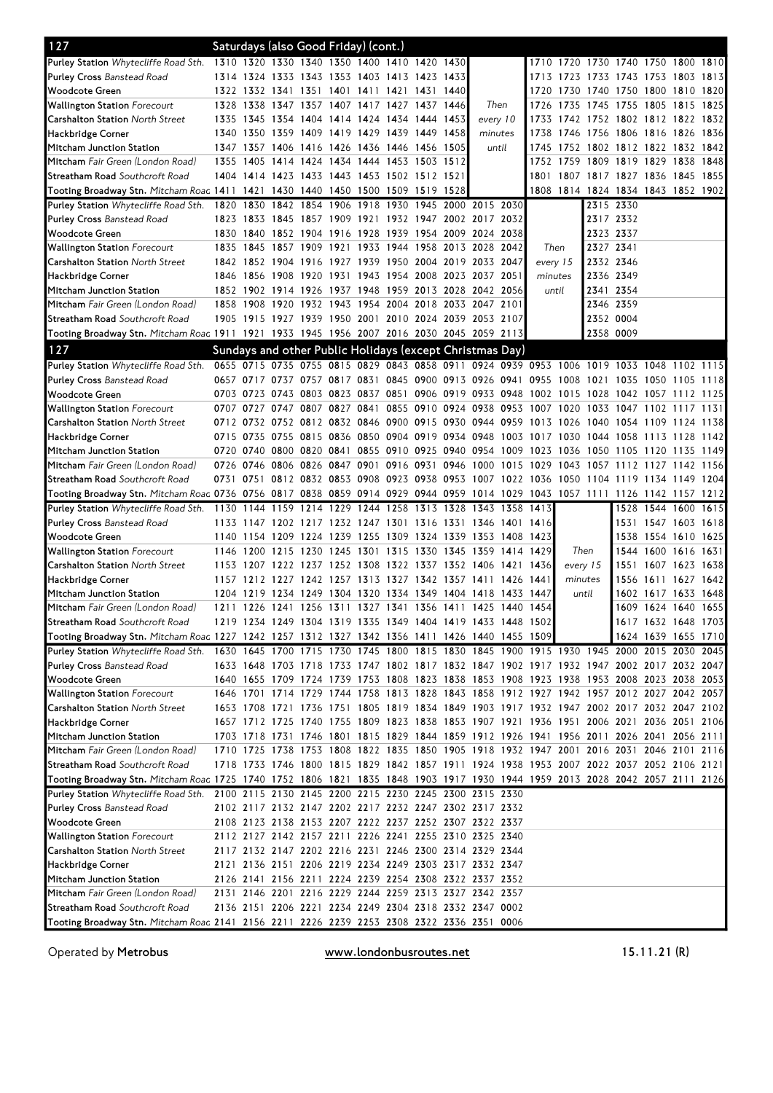| 127                                                                                                                          | Saturdays (also Good Friday) (cont.) |           |                                              |  |      |           |                                                                                           |          |           |           |                                    |                     |      |      |
|------------------------------------------------------------------------------------------------------------------------------|--------------------------------------|-----------|----------------------------------------------|--|------|-----------|-------------------------------------------------------------------------------------------|----------|-----------|-----------|------------------------------------|---------------------|------|------|
| <b>Purley Station</b> Whytecliffe Road Sth.                                                                                  |                                      |           | 1310 1320 1330 1340 1350 1400 1410 1420 1430 |  |      |           |                                                                                           |          |           |           | 1710 1720 1730 1740 1750 1800 1810 |                     |      |      |
| <b>Purley Cross Banstead Road</b>                                                                                            |                                      |           | 1314 1324 1333 1343 1353 1403 1413 1423 1433 |  |      |           |                                                                                           | 1713     | 1723      |           | 1733 1743 1753 1803                |                     |      | 1813 |
| Woodcote Green                                                                                                               |                                      |           | 1322 1332 1341 1351 1401 1411 1421           |  |      | 1431 1440 |                                                                                           | 1720     | 1730      |           | 1740 1750 1800 1810                |                     |      | 1820 |
| <b>Wallington Station Forecourt</b>                                                                                          |                                      |           | 1328 1338 1347 1357 1407 1417 1427 1437 1446 |  |      |           | Then                                                                                      | 1726     | 1735      | 1745      | 1755 1805                          |                     | 1815 | 1825 |
| <b>Carshalton Station</b> North Street                                                                                       |                                      |           | 1335 1345 1354 1404 1414 1424 1434 1444 1453 |  |      |           | every 10                                                                                  | 1733     |           |           | 1742 1752 1802 1812 1822 1832      |                     |      |      |
| Hackbridge Corner                                                                                                            |                                      |           | 1340 1350 1359 1409 1419 1429 1439 1449 1458 |  |      |           | minutes                                                                                   |          |           |           | 1738 1746 1756 1806 1816 1826 1836 |                     |      |      |
| Mitcham Junction Station                                                                                                     |                                      |           | 1347 1357 1406 1416 1426 1436 1446 1456 1505 |  |      |           | until                                                                                     | 1745     |           |           | 1752 1802 1812 1822 1832 1842      |                     |      |      |
| Mitcham Fair Green (London Road)                                                                                             |                                      | 1355 1405 | 1414 1424 1434 1444 1453 1503 1512           |  |      |           |                                                                                           |          | 1752 1759 |           | 1809 1819 1829 1838                |                     |      | 1848 |
| Streatham Road Southcroft Road                                                                                               |                                      |           | 1404 1414 1423 1433 1443 1453 1502 1512 1521 |  |      |           |                                                                                           |          |           |           | 1801 1807 1817 1827 1836 1845 1855 |                     |      |      |
| Tooting Broadway Stn. Mitcham Roac 1411                                                                                      |                                      | 1421      | 1430 1440 1450 1500 1509 1519 1528           |  |      |           |                                                                                           |          |           |           | 1808 1814 1824 1834 1843 1852 1902 |                     |      |      |
| Purley Station Whytecliffe Road Sth.                                                                                         |                                      | 1820 1830 | 1842 1854 1906 1918                          |  | 1930 |           | 1945 2000 2015 2030                                                                       |          |           |           | 2315 2330                          |                     |      |      |
| <b>Purley Cross Banstead Road</b>                                                                                            |                                      |           |                                              |  |      |           | 1823 1833 1845 1857 1909 1921 1932 1947 2002 2017 2032                                    |          |           | 2317 2332 |                                    |                     |      |      |
| Woodcote Green                                                                                                               |                                      |           |                                              |  |      |           | 1830 1840 1852 1904 1916 1928 1939 1954 2009 2024 2038                                    |          |           | 2323 2337 |                                    |                     |      |      |
| <b>Wallington Station</b> Forecourt                                                                                          |                                      |           | 1835 1845 1857 1909                          |  |      |           | 1921 1933 1944 1958 2013 2028 2042                                                        | Then     |           | 2327 2341 |                                    |                     |      |      |
| <b>Carshalton Station North Street</b>                                                                                       |                                      |           |                                              |  |      |           | 1842 1852 1904 1916 1927 1939 1950 2004 2019 2033 2047                                    | every 15 |           | 2332 2346 |                                    |                     |      |      |
| Hackbridge Corner                                                                                                            |                                      |           | 1846 1856 1908 1920 1931 1943 1954           |  |      |           | 2008 2023 2037 2051                                                                       | minutes  |           | 2336 2349 |                                    |                     |      |      |
| Mitcham Junction Station                                                                                                     |                                      |           |                                              |  |      |           | 1852 1902 1914 1926 1937 1948 1959 2013 2028 2042 2056                                    | until    |           | 2341 2354 |                                    |                     |      |      |
| Mitcham Fair Green (London Road)                                                                                             |                                      |           |                                              |  |      |           | 1858 1908 1920 1932 1943 1954 2004 2018 2033 2047 2101                                    |          |           |           | 2346 2359                          |                     |      |      |
| Streatham Road Southcroft Road                                                                                               |                                      |           |                                              |  |      |           | 1905 1915 1927 1939 1950 2001 2010 2024 2039 2053 2107                                    |          |           |           | 2352 0004                          |                     |      |      |
| Tooting Broadway Stn. Mitcham Roac 1911 1921 1933 1945 1956 2007 2016 2030 2045 2059 2113                                    |                                      |           |                                              |  |      |           |                                                                                           |          |           | 2358 0009 |                                    |                     |      |      |
| 127                                                                                                                          |                                      |           |                                              |  |      |           | Sundays and other Public Holidays (except Christmas Day)                                  |          |           |           |                                    |                     |      |      |
|                                                                                                                              |                                      |           |                                              |  |      |           |                                                                                           |          |           |           |                                    |                     |      |      |
| Purley Station Whytecliffe Road Sth. 0655 0715 0735 0755 0815 0829 0843 0858 0911 0924 0939 0953 1006 1019 1033 1048 1102    |                                      |           |                                              |  |      |           |                                                                                           |          |           |           |                                    |                     |      | 1115 |
| <b>Purley Cross Banstead Road</b>                                                                                            |                                      |           |                                              |  |      |           | 0657 0717 0737 0757 0817 0831 0845 0900 0913 0926 0941 0955 1008 1021                     |          |           |           | 1035 1050 1105                     |                     |      | 1118 |
| Woodcote Green                                                                                                               |                                      |           |                                              |  |      |           | 0703 0723 0743 0803 0823 0837 0851 0906 0919 0933 0948 1002 1015 1028 1042 1057 1112      |          |           |           |                                    |                     |      | 1125 |
| Wallington Station Forecourt                                                                                                 |                                      |           | 0707 0727 0747 0807 0827 0841                |  |      |           | 0855 0910 0924 0938 0953 1007 1020 1033 1047 1102 1117                                    |          |           |           |                                    |                     |      | 1131 |
| <b>Carshalton Station</b> North Street                                                                                       |                                      |           |                                              |  |      |           | 0712 0732 0752 0812 0832 0846 0900 0915 0930 0944 0959 1013 1026 1040 1054 1109 1124 1138 |          |           |           |                                    |                     |      |      |
| Hackbridge Corner                                                                                                            |                                      |           |                                              |  |      |           | 0715 0735 0755 0815 0836 0850 0904 0919 0934 0948 1003 1017 1030 1044 1058 1113 1128 1142 |          |           |           |                                    |                     |      |      |
| Mitcham Junction Station                                                                                                     |                                      |           |                                              |  |      |           | 0720 0740 0800 0820 0841 0855 0910 0925 0940 0954 1009 1023 1036 1050                     |          |           |           | 1105 1120                          |                     | 1135 | 1149 |
| Mitcham Fair Green (London Road)                                                                                             |                                      |           | 0726 0746 0806 0826 0847 0901 0916 0931 0946 |  |      |           | 1000 1015 1029                                                                            |          | 1043 1057 |           | 1112 1127 1142                     |                     |      | 1156 |
| <b>Streatham Road</b> Southcroft Road                                                                                        |                                      |           |                                              |  |      |           | 0731 0751 0812 0832 0853 0908 0923 0938 0953 1007 1022 1036 1050 1104 1119 1134 1149 1204 |          |           |           |                                    |                     |      |      |
|                                                                                                                              |                                      |           |                                              |  |      |           |                                                                                           |          |           |           |                                    |                     |      |      |
| Tooting Broadway Stn. Mitcham Roac 0736 0756 0817 0838 0859 0914 0929 0944 0959 1014 1029 1043 1057 1111 1126 1142 1157 1212 |                                      |           |                                              |  |      |           |                                                                                           |          |           |           |                                    |                     |      |      |
| Purley Station Whytecliffe Road Sth.                                                                                         |                                      | 1130 1144 | 1159 1214 1229 1244 1258                     |  |      |           | 1313 1328 1343 1358 1413                                                                  |          |           |           |                                    | 1528 1544 1600 1615 |      |      |
| <b>Purley Cross Banstead Road</b>                                                                                            |                                      |           |                                              |  |      |           | 1133 1147 1202 1217 1232 1247 1301 1316 1331 1346 1401 1416                               |          |           |           |                                    | 1531 1547 1603 1618 |      |      |
| Woodcote Green                                                                                                               |                                      |           |                                              |  |      |           | 1140 1154 1209 1224 1239 1255 1309 1324 1339 1353 1408 1423                               |          |           |           |                                    | 1538 1554 1610 1625 |      |      |
| <b>Wallington Station</b> Forecourt                                                                                          |                                      |           | 1146 1200 1215 1230 1245 1301 1315           |  |      | 1330 1345 | 1359 1414 1429                                                                            |          | Then      |           |                                    | 1544 1600 1616 1631 |      |      |
| <b>Carshalton Station North Street</b>                                                                                       |                                      |           |                                              |  |      |           | 1153 1207 1222 1237 1252 1308 1322 1337 1352 1406 1421 1436                               |          | every 15  |           |                                    | 1551 1607 1623      |      | 1638 |
| Hackbridge Corner                                                                                                            |                                      |           |                                              |  |      |           | 1157 1212 1227 1242 1257 1313 1327 1342 1357 1411 1426 1441                               |          | minutes   |           |                                    | 1556 1611 1627 1642 |      |      |
| Mitcham Junction Station                                                                                                     |                                      |           |                                              |  |      |           | 1204 1219 1234 1249 1304 1320 1334 1349 1404 1418 1433 1447                               |          | until     |           |                                    | 1602 1617 1633      |      | 1648 |
| Mitcham Fair Green (London Road)                                                                                             |                                      |           |                                              |  |      |           | 1211 1226 1241 1256 1311 1327 1341 1356 1411 1425 1440 1454                               |          |           |           |                                    | 1609 1624 1640 1655 |      |      |
| Streatham Road Southcroft Road                                                                                               |                                      |           |                                              |  |      |           | 1219 1234 1249 1304 1319 1335 1349 1404 1419 1433 1448 1502                               |          |           |           |                                    | 1617 1632 1648 1703 |      |      |
| Tooting Broadway Stn. Mitcham Roac 1227 1242 1257 1312 1327 1342 1356 1411 1426 1440 1455 1509                               |                                      |           |                                              |  |      |           |                                                                                           |          |           |           |                                    | 1624 1639 1655 1710 |      |      |
| Purley Station Whytecliffe Road Sth.                                                                                         |                                      |           |                                              |  |      |           | 1630 1645 1700 1715 1730 1745 1800 1815 1830 1845 1900 1915 1930 1945 2000 2015 2030 2045 |          |           |           |                                    |                     |      |      |
| <b>Purley Cross Banstead Road</b>                                                                                            |                                      |           |                                              |  |      |           | 1633 1648 1703 1718 1733 1747 1802 1817 1832 1847 1902 1917 1932 1947 2002 2017 2032 2047 |          |           |           |                                    |                     |      |      |
| Woodcote Green                                                                                                               |                                      |           |                                              |  |      |           | 1640 1655 1709 1724 1739 1753 1808 1823 1838 1853 1908 1923 1938 1953 2008 2023 2038 2053 |          |           |           |                                    |                     |      |      |
| <b>Wallington Station</b> Forecourt                                                                                          |                                      |           |                                              |  |      |           | 1646 1701 1714 1729 1744 1758 1813 1828 1843 1858 1912 1927 1942 1957 2012 2027 2042 2057 |          |           |           |                                    |                     |      |      |
| <b>Carshalton Station</b> North Street                                                                                       |                                      |           |                                              |  |      |           | 1653 1708 1721 1736 1751 1805 1819 1834 1849 1903 1917 1932 1947 2002 2017 2032 2047 2102 |          |           |           |                                    |                     |      |      |
| Hackbridge Corner                                                                                                            |                                      |           |                                              |  |      |           | 1657 1712 1725 1740 1755 1809 1823 1838 1853 1907 1921 1936 1951 2006 2021 2036 2051 2106 |          |           |           |                                    |                     |      |      |
| Mitcham Junction Station                                                                                                     |                                      |           |                                              |  |      |           | 1703 1718 1731 1746 1801 1815 1829 1844 1859 1912 1926 1941 1956 2011 2026 2041 2056 2111 |          |           |           |                                    |                     |      |      |
| Mitcham Fair Green (London Road)                                                                                             |                                      |           |                                              |  |      |           | 1710 1725 1738 1753 1808 1822 1835 1850 1905 1918 1932 1947 2001 2016 2031 2046 2101 2116 |          |           |           |                                    |                     |      |      |
| Streatham Road Southcroft Road                                                                                               |                                      |           |                                              |  |      |           | 1718 1733 1746 1800 1815 1829 1842 1857 1911 1924 1938 1953 2007 2022 2037 2052 2106 2121 |          |           |           |                                    |                     |      |      |
| Tooting Broadway Stn. Mitcham Roac 1725 1740 1752 1806 1821 1835 1848 1903 1917 1930 1944 1959 2013 2028 2042 2057 2111 2126 |                                      |           |                                              |  |      |           |                                                                                           |          |           |           |                                    |                     |      |      |
| Purley Station Whytecliffe Road Sth.                                                                                         |                                      |           |                                              |  |      |           | 2100 2115 2130 2145 2200 2215 2230 2245 2300 2315 2330                                    |          |           |           |                                    |                     |      |      |
| Purley Cross Banstead Road                                                                                                   |                                      |           |                                              |  |      |           | 2102 2117 2132 2147 2202 2217 2232 2247 2302 2317 2332                                    |          |           |           |                                    |                     |      |      |
| Woodcote Green                                                                                                               |                                      |           |                                              |  |      |           | 2108 2123 2138 2153 2207 2222 2237 2252 2307 2322 2337                                    |          |           |           |                                    |                     |      |      |
| Wallington Station Forecourt                                                                                                 |                                      |           |                                              |  |      |           | 2112 2127 2142 2157 2211 2226 2241 2255 2310 2325 2340                                    |          |           |           |                                    |                     |      |      |
| Carshalton Station <i>North Street</i>                                                                                       |                                      |           |                                              |  |      |           | 2117 2132 2147 2202 2216 2231 2246 2300 2314 2329 2344                                    |          |           |           |                                    |                     |      |      |
| Hackbridge Corner                                                                                                            |                                      |           |                                              |  |      |           | 2121 2136 2151 2206 2219 2234 2249 2303 2317 2332 2347                                    |          |           |           |                                    |                     |      |      |
| Mitcham Junction Station                                                                                                     |                                      |           |                                              |  |      |           | 2126 2141 2156 2211 2224 2239 2254 2308 2322 2337 2352                                    |          |           |           |                                    |                     |      |      |
| Mitcham Fair Green (London Road)                                                                                             |                                      |           |                                              |  |      |           | 2131 2146 2201 2216 2229 2244 2259 2313 2327 2342 2357                                    |          |           |           |                                    |                     |      |      |
| Streatham Road Southcroft Road<br>Tooting Broadway Stn. Mitcham Roac 2141 2156 2211 2226 2239 2253 2308 2322 2336 2351 0006  |                                      |           |                                              |  |      |           | 2136 2151 2206 2221 2234 2249 2304 2318 2332 2347 0002                                    |          |           |           |                                    |                     |      |      |

Operated by Metrobus **www.londonbusroutes.net** 15.11.21 (R)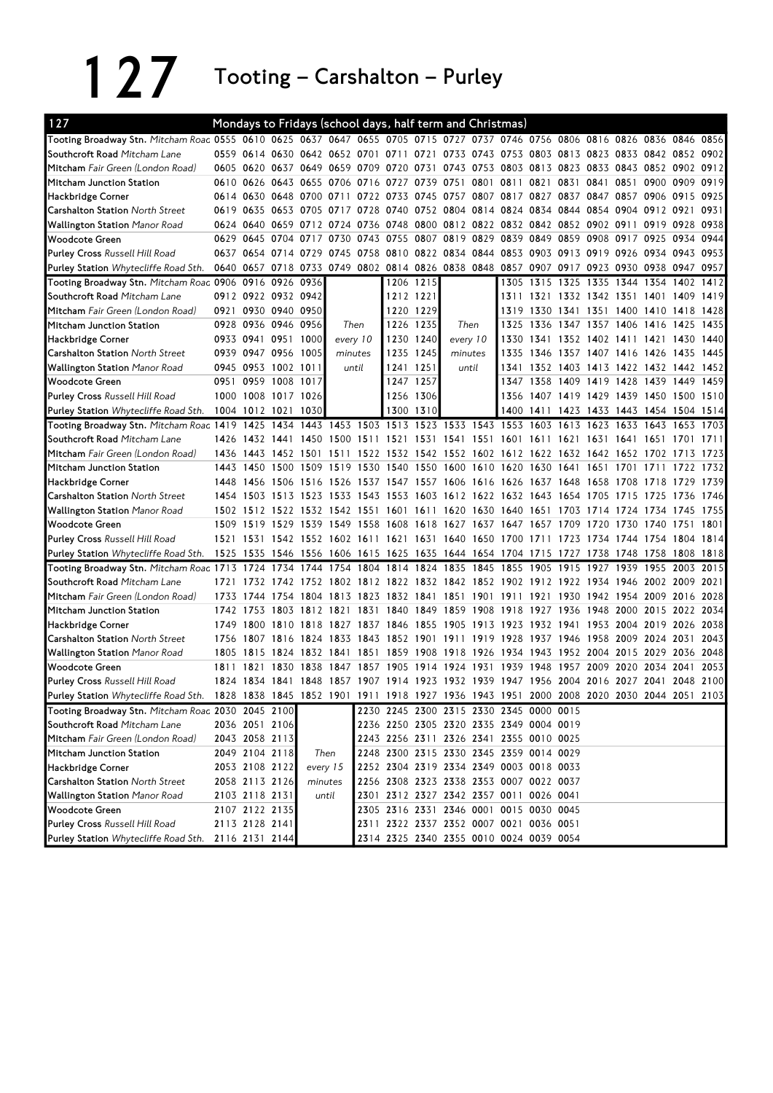127 Tooting – Carshalton – Purley

| 127                                                                                                                            |           |                |                               |                     |           |           |                     |           | Mondays to Fridays (school days, half term and Christmas)                                 |      |                     |           |                                              |      |                     |                               |           |      |
|--------------------------------------------------------------------------------------------------------------------------------|-----------|----------------|-------------------------------|---------------------|-----------|-----------|---------------------|-----------|-------------------------------------------------------------------------------------------|------|---------------------|-----------|----------------------------------------------|------|---------------------|-------------------------------|-----------|------|
| Tooting Broadway Stn. Mitcham Roac 0555 0610 0625 0637 0647 0655 0705 0715 0727 0737 0746 0756 0806 0816 0826 0836 0846 0856   |           |                |                               |                     |           |           |                     |           |                                                                                           |      |                     |           |                                              |      |                     |                               |           |      |
| Southcroft Road Mitcham Lane                                                                                                   |           |                | 0559 0614 0630 0642 0652 0701 |                     |           |           | 0711                | 0721      |                                                                                           |      |                     |           | 0733 0743 0753 0803 0813 0823 0833 0842 0852 |      |                     |                               |           | 0902 |
| Mitcham Fair Green (London Road)                                                                                               |           |                | 0605 0620 0637 0649 0659      |                     |           |           | 0709 0720 0731 0743 |           |                                                                                           |      |                     |           | 0753 0803 0813 0823 0833 0843 0852 0902 0912 |      |                     |                               |           |      |
| Mitcham Junction Station                                                                                                       | 0610      |                | 0626 0643 0655 0706           |                     |           | 0716 0727 |                     | 0739 0751 |                                                                                           | 0801 | 0811 0821           |           | 0831                                         | 0841 | 0851 0900           |                               | 0909      | 0919 |
| Hackbridge Corner                                                                                                              |           |                | 0614 0630 0648 0700 0711      |                     |           |           |                     |           | 0722 0733 0745 0757 0807 0817 0827 0837 0847 0857 0906 0915 0925                          |      |                     |           |                                              |      |                     |                               |           |      |
| <b>Carshalton Station North Street</b>                                                                                         |           |                | 0619 0635 0653 0705 0717      |                     |           |           |                     |           | 0728 0740 0752 0804 0814 0824 0834                                                        |      |                     |           |                                              |      |                     | 0844 0854 0904 0912 0921 0931 |           |      |
| <b>Wallington Station Manor Road</b>                                                                                           |           | 0624 0640      |                               | 0659 0712 0724      |           |           |                     |           | 0736 0748 0800 0812 0822 0832 0842 0852 0902 0911 0919                                    |      |                     |           |                                              |      |                     |                               | 0928 0938 |      |
| <b>Woodcote Green</b>                                                                                                          | 0629 0645 |                | 0704 0717                     |                     | 0730      | 0743 0755 |                     |           | 0807 0819 0829 0839 0849 0859 0908 0917 0925                                              |      |                     |           |                                              |      |                     |                               | 0934 0944 |      |
| <b>Purley Cross Russell Hill Road</b>                                                                                          |           |                | 0637 0654 0714 0729 0745      |                     |           |           |                     |           | 0758 0810 0822 0834 0844 0853 0903 0913 0919                                              |      |                     |           |                                              |      |                     | 0926 0934 0943 0953           |           |      |
| Purley Station Whytecliffe Road Sth.                                                                                           |           |                |                               |                     |           |           |                     |           | 0640 0657 0718 0733 0749 0802 0814 0826 0838 0848 0857 0907 0917 0923 0930 0938 0947 0957 |      |                     |           |                                              |      |                     |                               |           |      |
| Tooting Broadway Stn. Mitcham Roac 0906 0916 0926 0936                                                                         |           |                |                               |                     |           |           |                     | 1206 1215 |                                                                                           |      | 1305                | 1315      | 1325                                         | 1335 |                     | 1344 1354 1402                |           | 1412 |
| Southcroft Road Mitcham Lane                                                                                                   |           |                | 0912 0922 0932 0942           |                     |           |           | 1212 1221           |           |                                                                                           |      |                     |           | 1311 1321 1332 1342 1351 1401 1409 1419      |      |                     |                               |           |      |
| Mitcham Fair Green (London Road)                                                                                               |           |                | 0921 0930 0940 0950           |                     |           |           |                     | 1220 1229 |                                                                                           |      |                     |           | 1319 1330 1341 1351 1400 1410 1418           |      |                     |                               |           | 1428 |
| Mitcham Junction Station                                                                                                       |           |                | 0928 0936 0946 0956           |                     |           | Then      |                     | 1226 1235 | Then                                                                                      |      | 1325                | 1336      | 1347 1357 1406 1416                          |      |                     |                               | 1425      | 1435 |
| Hackbridge Corner                                                                                                              |           |                | 0933 0941 0951 1000           |                     |           | every 10  | 1230 1240           |           | every 10                                                                                  |      | 1330                | 1341      |                                              |      | 1352 1402 1411 1421 |                               | 1430      | 1440 |
| <b>Carshalton Station North Street</b>                                                                                         |           |                | 0939 0947 0956 1005           |                     |           | minutes   |                     | 1235 1245 | minutes                                                                                   |      |                     | 1335 1346 | 1357 1407 1416 1426                          |      |                     |                               | 1435      | 1445 |
| <b>Wallington Station Manor Road</b>                                                                                           |           |                | 0945 0953 1002 1011           |                     |           | until     | 1241                | 1251      | until                                                                                     |      | 1341                |           | 1352 1403 1413 1422 1432 1442                |      |                     |                               |           | 1452 |
| <b>Woodcote Green</b>                                                                                                          | 0951      | 0959           | 1008 1017                     |                     |           |           |                     | 1247 1257 |                                                                                           |      | 1347                | 1358      | 1409 1419 1428 1439                          |      |                     |                               | 1449      | 1459 |
| <b>Purley Cross Russell Hill Road</b>                                                                                          |           |                | 1000 1008 1017 1026           |                     |           |           |                     | 1256 1306 |                                                                                           |      |                     |           | 1356 1407 1419 1429 1439 1450 1500 1510      |      |                     |                               |           |      |
| Purley Station Whytecliffe Road Sth.                                                                                           |           | 1004 1012 1021 |                               | 1030                |           |           | 1300                | 1310      |                                                                                           |      |                     | 1400 1411 | 1423 1433 1443 1454 1504 1514                |      |                     |                               |           |      |
| Tooting Broadway Stn. Mitcham Roac 1419                                                                                        |           | 1425           |                               |                     |           |           |                     |           | 1434 1443 1453 1503 1513 1523 1533 1543 1553 1603 1613 1623 1633 1643                     |      |                     |           |                                              |      |                     |                               | 1653 1703 |      |
| Southcroft Road Mitcham Lane                                                                                                   | 1426      |                | 1432 1441 1450                |                     | 1500 1511 |           |                     |           | 1521 1531 1541 1551                                                                       |      | 1601 1611 1621      |           |                                              | 1631 |                     | 1641 1651 1701                |           | 1711 |
| Mitcham Fair Green (London Road)                                                                                               | 1436      | 1443           | 1452 1501                     |                     | 1511      |           |                     |           | 1522 1532 1542 1552 1602 1612 1622 1632 1642 1652 1702 1713                               |      |                     |           |                                              |      |                     |                               |           | 1723 |
| Mitcham Junction Station                                                                                                       | 1443      | 1450           | 1500 1509 1519                |                     |           |           |                     |           | 1530 1540 1550 1600 1610 1620 1630 1641                                                   |      |                     |           |                                              | 1651 | 1701 1711           |                               | 1722 1732 |      |
| Hackbridge Corner                                                                                                              |           |                | 1448 1456 1506 1516 1526      |                     |           |           |                     |           | 1537 1547 1557 1606 1616 1626 1637 1648 1658 1708 1718                                    |      |                     |           |                                              |      |                     |                               | 1729 1739 |      |
| <b>Carshalton Station North Street</b>                                                                                         |           | 1454 1503      | 1513 1523                     |                     | 1533      |           |                     |           | 1543 1553 1603 1612 1622 1632 1643                                                        |      |                     |           | 1654 1705                                    |      | 1715                | 1725                          | 1736      | 1746 |
| <b>Wallington Station Manor Road</b>                                                                                           |           | 1502 1512      |                               | 1522 1532 1542 1551 |           |           | 1601                |           | 1611 1620 1630 1640 1651                                                                  |      |                     |           | 1703                                         | 1714 | 1724                | 1734                          | 1745      | 1755 |
| <b>Woodcote Green</b>                                                                                                          | 1509      | 1519           | 1529                          | 1539                | 1549      |           |                     |           | 1558 1608 1618 1627 1637 1647 1657 1709                                                   |      |                     |           |                                              | 1720 | 1730                | 1740                          | 1751      | 1801 |
| <b>Purley Cross Russell Hill Road</b>                                                                                          |           |                |                               |                     |           |           |                     |           | 1521 1531 1542 1552 1602 1611 1621 1631 1640 1650 1700 1711 1723 1734 1744 1754 1804 1814 |      |                     |           |                                              |      |                     |                               |           |      |
| Purley Station Whytecliffe Road Sth.                                                                                           | 1525      |                |                               |                     |           |           |                     |           | 1535 1546 1556 1606 1615 1625 1635 1644 1654 1704 1715                                    |      |                     |           | 1727 1738 1748 1758                          |      |                     |                               | 1808      | 1818 |
| Tooting Broadway Stn. Mitcham Roac 1713 1724 1734 1744 1754 1804 1814 1824 1835 1845 1855 1905                                 |           |                |                               |                     |           |           |                     |           |                                                                                           |      |                     |           | 1915 1927                                    |      | 1939 1955           |                               | 2003      | 2015 |
| Southcroft Road Mitcham Lane                                                                                                   | 1721      | 1732           | 1742                          | 1752                | 1802      |           | 1812 1822 1832 1842 |           |                                                                                           |      | 1852 1902 1912      |           | 1922                                         |      |                     | 1934 1946 2002 2009           |           | 2021 |
| Mitcham Fair Green (London Road)                                                                                               | 1733      | 1744           | 1754                          | 1804                | 1813      | 1823      | 1832 1841           |           | 1851                                                                                      | 1901 | 1911                | 1921      | 1930                                         | 1942 | 1954 2009           |                               | 2016 2028 |      |
| Mitcham Junction Station                                                                                                       |           | 1742 1753      | 1803                          | 1812 1821           |           | 1831      |                     |           | 1840 1849 1859                                                                            | 1908 | 1918 1927           |           | 1936                                         | 1948 | 2000 2015           |                               | 2022 2034 |      |
| Hackbridge Corner                                                                                                              |           |                | 1749 1800 1810 1818           |                     | 1827      |           | 1837 1846 1855 1905 |           |                                                                                           |      | 1913 1923 1932 1941 |           |                                              |      |                     | 1953 2004 2019 2026 2038      |           |      |
| <b>Carshalton Station North Street</b>                                                                                         | 1756      |                | 1807 1816 1824 1833           |                     |           |           |                     |           | 1843 1852 1901 1911 1919 1928 1937 1946 1958 2009 2024 2031                               |      |                     |           |                                              |      |                     |                               |           | 2043 |
| <b>Wallington Station Manor Road</b>                                                                                           |           |                |                               |                     |           |           |                     |           | 1805 1815 1824 1832 1841 1851 1859 1908 1918 1926 1934 1943 1952 2004                     |      |                     |           |                                              |      | 2015 2029           |                               | 2036      | 2048 |
| <b>Woodcote Green</b>                                                                                                          | 1811      | 1821           |                               | 1830 1838           | 1847      | 1857      | 1905                |           | 1914 1924 1931                                                                            |      | 1939 1948           |           | 1957                                         | 2009 |                     | 2020 2034                     | 2041      | 2053 |
| <b>Purley Cross Russell Hill Road</b>                                                                                          |           |                |                               |                     |           |           |                     |           | 1824 1834 1841 1848 1857 1907 1914 1923 1932 1939 1947 1956 2004 2016 2027 2041 2048 2100 |      |                     |           |                                              |      |                     |                               |           |      |
| Purley Station Whytecliffe Road Sth. 1828 1838 1845 1852 1901 1911 1918 1927 1936 1943 1951 2000 2008 2020 2030 2044 2051 2103 |           |                |                               |                     |           |           |                     |           |                                                                                           |      |                     |           |                                              |      |                     |                               |           |      |
| Tooting Broadway Stn. Mitcham Roac 2030 2045 2100                                                                              |           |                |                               |                     |           |           |                     |           | 2230 2245 2300 2315 2330 2345 0000 0015                                                   |      |                     |           |                                              |      |                     |                               |           |      |
| Southcroft Road Mitcham Lane                                                                                                   |           |                | 2036 2051 2106                |                     |           |           |                     |           | 2236 2250 2305 2320 2335 2349 0004 0019                                                   |      |                     |           |                                              |      |                     |                               |           |      |
| Mitcham Fair Green (London Road)                                                                                               |           | 2043 2058 2113 |                               |                     |           |           |                     |           | 2243 2256 2311 2326 2341 2355 0010 0025                                                   |      |                     |           |                                              |      |                     |                               |           |      |
| Mitcham Junction Station                                                                                                       |           |                | 2049 2104 2118                | Then                |           |           |                     |           | 2248 2300 2315 2330 2345 2359 0014 0029                                                   |      |                     |           |                                              |      |                     |                               |           |      |
| Hackbridge Corner                                                                                                              |           | 2053 2108 2122 |                               | every 15            |           |           |                     |           | 2252 2304 2319 2334 2349 0003 0018 0033                                                   |      |                     |           |                                              |      |                     |                               |           |      |
| <b>Carshalton Station North Street</b>                                                                                         |           | 2058 2113 2126 |                               | minutes             |           |           |                     |           | 2256 2308 2323 2338 2353 0007 0022 0037                                                   |      |                     |           |                                              |      |                     |                               |           |      |
| <b>Wallington Station Manor Road</b>                                                                                           |           | 2103 2118 2131 |                               |                     | until     |           |                     |           | 2301 2312 2327 2342 2357 0011 0026 0041                                                   |      |                     |           |                                              |      |                     |                               |           |      |
| <b>Woodcote Green</b>                                                                                                          |           | 2107 2122 2135 |                               |                     |           |           |                     |           | 2305 2316 2331 2346 0001 0015 0030 0045                                                   |      |                     |           |                                              |      |                     |                               |           |      |
| Purley Cross Russell Hill Road                                                                                                 |           | 2113 2128 2141 |                               |                     |           |           |                     |           | 2311 2322 2337 2352 0007 0021 0036 0051                                                   |      |                     |           |                                              |      |                     |                               |           |      |
| Purley Station Whytecliffe Road Sth.                                                                                           |           | 2116 2131 2144 |                               |                     |           |           |                     |           | 2314 2325 2340 2355 0010 0024 0039 0054                                                   |      |                     |           |                                              |      |                     |                               |           |      |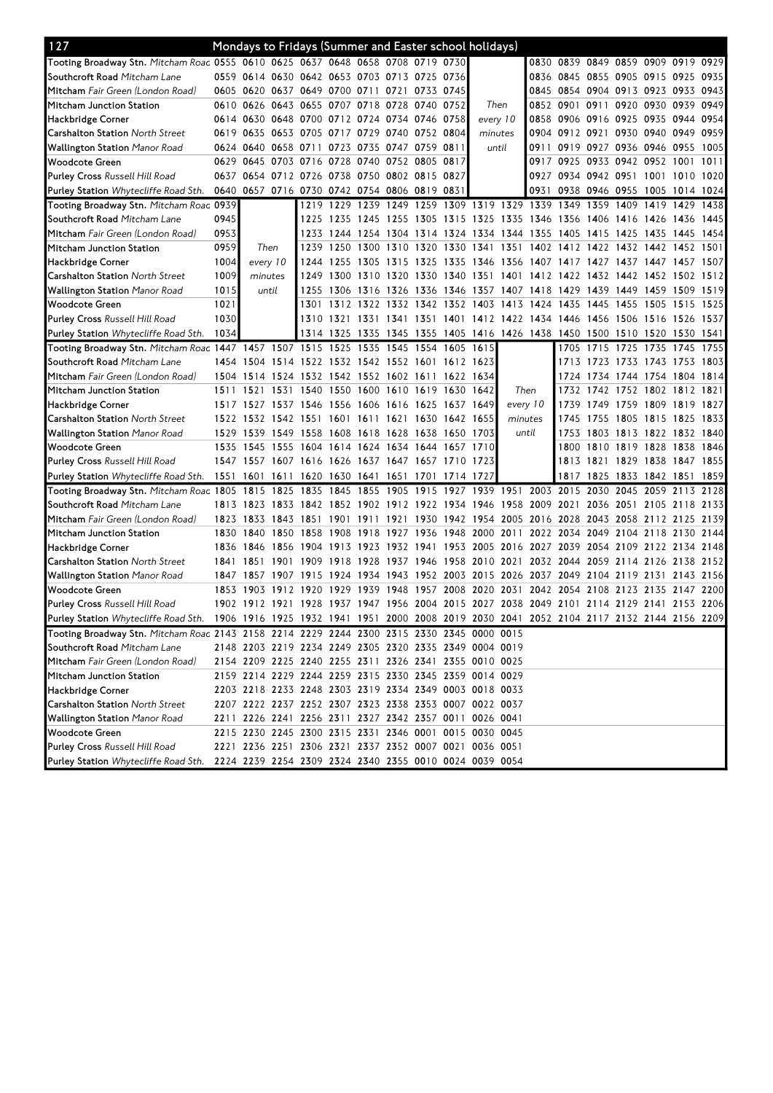| 127                                                                                       |           |                |                | Mondays to Fridays (Summer and Easter school holidays)                                    |                |                |                |                |                |           |                                                        |           |                                    |                          |                     |                |                |      |
|-------------------------------------------------------------------------------------------|-----------|----------------|----------------|-------------------------------------------------------------------------------------------|----------------|----------------|----------------|----------------|----------------|-----------|--------------------------------------------------------|-----------|------------------------------------|--------------------------|---------------------|----------------|----------------|------|
| Tooting Broadway Stn. Mitcham Roac 0555 0610 0625 0637 0648 0658 0708 0719 0730           |           |                |                |                                                                                           |                |                |                |                |                |           |                                                        |           | 0830 0839 0849 0859 0909 0919 0929 |                          |                     |                |                |      |
| Southcroft Road Mitcham Lane                                                              |           |                |                | 0559 0614 0630 0642 0653 0703 0713 0725 0736                                              |                |                |                |                |                |           |                                                        |           | 0836 0845                          | 0855 0905 0915 0925      |                     |                |                | 0935 |
| Mitcham Fair Green (London Road)                                                          | 0605      |                |                | 0620 0637 0649 0700 0711 0721                                                             |                |                |                | 0733 0745      |                |           |                                                        |           | 0845 0854 0904 0913 0923 0933      |                          |                     |                |                | 0943 |
| Mitcham Junction Station                                                                  |           |                |                | 0610 0626 0643 0655 0707 0718                                                             |                |                | 0728           | 0740 0752      |                | Then      |                                                        |           | 0852 0901 0911                     |                          | 0920 0930 0939      |                |                | 0949 |
| Hackbridge Corner                                                                         |           | 0614 0630 0648 |                | 0700 0712 0724                                                                            |                |                | 0734           | 0746 0758      |                | every 10  |                                                        |           | 0858 0906                          | 0916 0925 0935 0944      |                     |                |                | 0954 |
| <b>Carshalton Station North Street</b>                                                    | 0619      |                | 0635 0653 0705 |                                                                                           | 0717           | 0729           | 0740           | 0752 0804      |                | minutes   |                                                        |           | 0904 0912                          | 0921                     |                     | 0930 0940 0949 |                | 0959 |
| <b>Wallington Station</b> Manor Road                                                      |           | 0624 0640      | 0658 0711      |                                                                                           | 0723 0735      |                | 0747           | 0759 0811      |                | until     |                                                        | 0911      | 0919                               | 0927 0936 0946 0955      |                     |                |                | 1005 |
| Woodcote Green                                                                            | 0629      |                |                | 0645 0703 0716 0728 0740                                                                  |                |                | 0752 0805 0817 |                |                |           |                                                        |           | 0917 0925                          | 0933                     | 0942 0952 1001      |                |                | 1011 |
| <b>Purley Cross</b> Russell Hill Road                                                     | 0637      |                |                | 0654 0712 0726 0738 0750                                                                  |                |                | 0802 0815 0827 |                |                |           |                                                        | 0927      | 0934 0942 0951 1001 1010 1020      |                          |                     |                |                |      |
| <b>Purley Station</b> Whytecliffe Road Sth.                                               | 0640      |                |                | 0657 0716 0730 0742 0754 0806 0819 0831                                                   |                |                |                |                |                |           |                                                        | 0931      |                                    | 0938 0946 0955           |                     |                | 1005 1014 1024 |      |
| Tooting Broadway Stn. Mitcham Roac 0939                                                   |           |                |                | 1219                                                                                      |                | 1229 1239      | 1249           |                |                |           | 1259 1309 1319 1329 1339 1349                          |           |                                    | 1359                     | 1409                | 1419           | 1429           | 1438 |
| Southcroft Road Mitcham Lane                                                              | 0945      |                |                | 1225                                                                                      | 1235 1245      |                | 1255           | 1305 1315      |                | 1325      | 1335                                                   | 1346 1356 |                                    | 1406                     | 1416 1426           |                | 1436           | 1445 |
| Mitcham Fair Green (London Road)                                                          | 0953      |                |                | 1233                                                                                      | 1244 1254      |                | 1304           | 1314 1324      |                |           | 1334 1344 1355 1405                                    |           |                                    | 1415                     | 1425 1435 1445      |                |                | 1454 |
| Mitcham Junction Station                                                                  | 0959      |                | Then           | 1239                                                                                      | 1250           | 1300           | 1310           | 1320 1330      |                | 1341      | 1351                                                   |           | 1402 1412 1422                     |                          | 1432 1442 1452 1501 |                |                |      |
| Hackbridge Corner                                                                         | 1004      | every 10       |                | 1244                                                                                      | 1255 1305      |                | 1315           | 1325 1335      |                |           | 1346 1356 1407 1417 1427                               |           |                                    |                          | 1437 1447 1457 1507 |                |                |      |
| <b>Carshalton Station North Street</b>                                                    | 1009      |                | minutes        | 1249                                                                                      | 1300           | 1310           | 1320           | 1330 1340      |                | 1351      | 1401                                                   | 1412      | 1422                               | 1432                     | 1442 1452 1502      |                |                | 1512 |
| <b>Wallington Station</b> Manor Road                                                      | 1015      |                | until          | 1255                                                                                      | 1306           | 1316           | 1326           | 1336 1346      |                | 1357      |                                                        | 1407 1418 | 1429                               | 1439                     | 1449                | 1459           | 1509           | 1519 |
| Woodcote Green                                                                            | 1021      |                |                | 1301                                                                                      | 1312           | 1322           | 1332           | 1342 1352      |                | 1403      | 1413                                                   | 1424      | 1435                               | 1445                     | 1455                | 1505           | 1515           | 1525 |
| <b>Purley Cross Russell Hill Road</b>                                                     | 1030      |                |                | 1310                                                                                      |                |                |                |                |                |           | 1321 1331 1341 1351 1401 1412 1422 1434 1446           |           |                                    | 1456 1506 1516 1526      |                     |                |                | 1537 |
| <b>Purley Station</b> Whytecliffe Road Sth.                                               | 1034      |                |                |                                                                                           | 1314 1325 1335 |                | 1345           |                |                |           | 1355 1405 1416 1426 1438 1450 1500 1510 1520 1530 1541 |           |                                    |                          |                     |                |                |      |
| Tooting Broadway Stn. Mitcham Roac 1447                                                   |           | 1457 1507      |                | 1515                                                                                      | 1525 1535      |                | 1545           | 1554 1605      |                | 1615      |                                                        |           | 1705                               | 1715                     | 1725                | 1735           | 1745           | 1755 |
| Southcroft Road Mitcham Lane                                                              | 1454      | 1504           | 1514           | 1522                                                                                      |                | 1532 1542 1552 |                | 1601           | 1612           | 1623      |                                                        |           | 1713                               | 1723                     | 1733 1743 1753      |                |                | 1803 |
| Mitcham Fair Green (London Road)                                                          | 1504      | 1514           | 1524           | 1532 1542 1552 1602 1611                                                                  |                |                |                |                | 1622           | 1634      |                                                        |           | 1724                               | 1734                     | 1744 1754           |                | 1804 1814      |      |
| Mitcham Junction Station                                                                  | 1511      | 1521           | 1531           | 1540                                                                                      | 1550 1600      |                | 1610           | 1619 1630      |                | 1642      | Then                                                   |           | 1732                               | 1742                     | 1752 1802 1812 1821 |                |                |      |
| Hackbridge Corner                                                                         | 1517      | 1527           |                | 1537 1546                                                                                 | 1556 1606      |                | 1616           | 1625 1637      |                | 1649      | every 10                                               |           | 1739                               | 1749                     | 1759 1809           |                | 1819           | 1827 |
| <b>Carshalton Station</b> North Street                                                    |           |                |                | 1522 1532 1542 1551 1601 1611 1621                                                        |                |                |                | 1630 1642 1655 |                |           | minutes                                                |           | 1745                               | 1755                     | 1805 1815 1825      |                |                | 1833 |
| <b>Wallington Station</b> Manor Road                                                      | 1529      | 1539           |                | 1549 1558 1608 1618 1628                                                                  |                |                |                | 1638 1650 1703 |                |           | until                                                  |           | 1753                               | 1803 1813 1822 1832 1840 |                     |                |                |      |
| Woodcote Green                                                                            | 1535      | 1545           | 1555           | 1604 1614 1624 1634                                                                       |                |                |                | 1644 1657      |                | 1710      |                                                        |           | 1800                               | 1810 1819 1828 1838      |                     |                |                | 1846 |
| <b>Purley Cross</b> Russell Hill Road                                                     |           | 1547 1557      | 1607           | 1616 1626 1637 1647                                                                       |                |                |                | 1657 1710      |                | 1723      |                                                        |           | 1813                               | 1821                     | 1829 1838           |                | 1847           | 1855 |
| <b>Purley Station</b> Whytecliffe Road Sth.                                               | 1551      | 1601           | 1611           | 1620                                                                                      |                | 1630 1641 1651 |                | 1701           | 1714 1727      |           |                                                        |           | 1817                               | 1825                     | 1833 1842 1851      |                |                | 1859 |
| Tooting Broadway Stn. Mitcham Roac 1805                                                   |           | 1815           | 1825           | 1835                                                                                      | 1845           | 1855           | 1905           | 1915           | 1927           | 1939 1951 |                                                        | 2003      | 2015                               | 2030                     | 2045                | 2059           | 2113           | 2128 |
| Southcroft Road Mitcham Lane                                                              |           | 1813 1823      |                | 1833 1842 1852 1902 1912 1922 1934 1946                                                   |                |                |                |                |                |           | 1958 2009 2021                                         |           |                                    | 2036 2051 2105 2118 2133 |                     |                |                |      |
| Mitcham Fair Green (London Road)                                                          | 1823      | 1833           | 1843           | 1851                                                                                      |                | 1901 1911      | 1921           |                | 1930 1942 1954 |           | 2005                                                   | 2016 2028 |                                    | 2043                     | 2058 2112 2125      |                |                | 2139 |
| Mitcham Junction Station                                                                  |           | 1830 1840      |                | 1850 1858                                                                                 | 1908           | 1918           | 1927           | 1936 1948      |                | 2000      | 2011                                                   |           | 2022 2034                          | 2049                     | 2104 2118           |                | 2130           | 2144 |
| Hackbridge Corner                                                                         |           | 1836 1846      | 1856           | 1904                                                                                      | 1913           | 1923           | 1932           | 1941           | 1953           | 2005      | 2016                                                   | 2027      | 2039                               | 2054                     | 2109 2122 2134 2148 |                |                |      |
| <b>Carshalton Station North Street</b>                                                    | 1841 1851 |                | 1901           | 1909                                                                                      | 1918           | 1928           | 1937           | 1946 1958      |                | 2010      | 2021                                                   |           | 2032 2044                          | 2059                     |                     | 2114 2126 2138 |                | 2152 |
| Wallington Station <i>Manor Road</i>                                                      | 1847      | 1857           | 1907           | 1915                                                                                      | 1924           | 1934           | 1943           |                | 1952 2003 2015 |           | 2026 2037                                              |           | 2049                               | 2104                     | 2119 2131           |                | 2143 2156      |      |
| Woodcote Green                                                                            | 1853      | 1903           | 1912           | 1920                                                                                      | 1929           | 1939           | 1948           | 1957 2008      |                | 2020      | 2031                                                   | 2042      | 2054                               | 2108                     | 2123 2135 2147 2200 |                |                |      |
| <b>Purley Cross</b> Russell Hill Road                                                     |           |                |                | 1902 1912 1921 1928 1937 1947 1956 2004 2015 2027 2038 2049 2101 2114 2129 2141 2153 2206 |                |                |                |                |                |           |                                                        |           |                                    |                          |                     |                |                |      |
| Purley Station Whytecliffe Road Sth.                                                      |           |                |                | 1906 1916 1925 1932 1941 1951 2000 2008 2019 2030 2041 2052 2104 2117 2132 2144 2156 2209 |                |                |                |                |                |           |                                                        |           |                                    |                          |                     |                |                |      |
| Tooting Broadway Stn. Mitcham Roac 2143 2158 2214 2229 2244 2300 2315 2330 2345 0000 0015 |           |                |                |                                                                                           |                |                |                |                |                |           |                                                        |           |                                    |                          |                     |                |                |      |
| Southcroft Road Mitcham Lane                                                              |           |                |                | 2148 2203 2219 2234 2249 2305 2320 2335 2349 0004 0019                                    |                |                |                |                |                |           |                                                        |           |                                    |                          |                     |                |                |      |
| Mitcham Fair Green (London Road)                                                          |           |                |                | 2154 2209 2225 2240 2255 2311 2326 2341 2355 0010 0025                                    |                |                |                |                |                |           |                                                        |           |                                    |                          |                     |                |                |      |
| Mitcham Junction Station                                                                  |           |                |                | 2159 2214 2229 2244 2259 2315 2330 2345 2359 0014 0029                                    |                |                |                |                |                |           |                                                        |           |                                    |                          |                     |                |                |      |
| Hackbridge Corner                                                                         |           |                |                | 2203 2218 2233 2248 2303 2319 2334 2349 0003 0018 0033                                    |                |                |                |                |                |           |                                                        |           |                                    |                          |                     |                |                |      |
| <b>Carshalton Station</b> North Street                                                    |           |                |                | 2207 2222 2237 2252 2307 2323 2338 2353 0007 0022 0037                                    |                |                |                |                |                |           |                                                        |           |                                    |                          |                     |                |                |      |
| Wallington Station <i>Manor Road</i>                                                      |           |                |                | 2211 2226 2241 2256 2311 2327 2342 2357 0011 0026 0041                                    |                |                |                |                |                |           |                                                        |           |                                    |                          |                     |                |                |      |
| Woodcote Green                                                                            |           |                |                | 2215 2230 2245 2300 2315 2331 2346 0001 0015 0030 0045                                    |                |                |                |                |                |           |                                                        |           |                                    |                          |                     |                |                |      |
| Purley Cross Russell Hill Road                                                            |           |                |                | 2221 2236 2251 2306 2321 2337 2352 0007 0021 0036 0051                                    |                |                |                |                |                |           |                                                        |           |                                    |                          |                     |                |                |      |
| Purley Station Whytecliffe Road Sth.                                                      |           |                |                | 2224 2239 2254 2309 2324 2340 2355 0010 0024 0039 0054                                    |                |                |                |                |                |           |                                                        |           |                                    |                          |                     |                |                |      |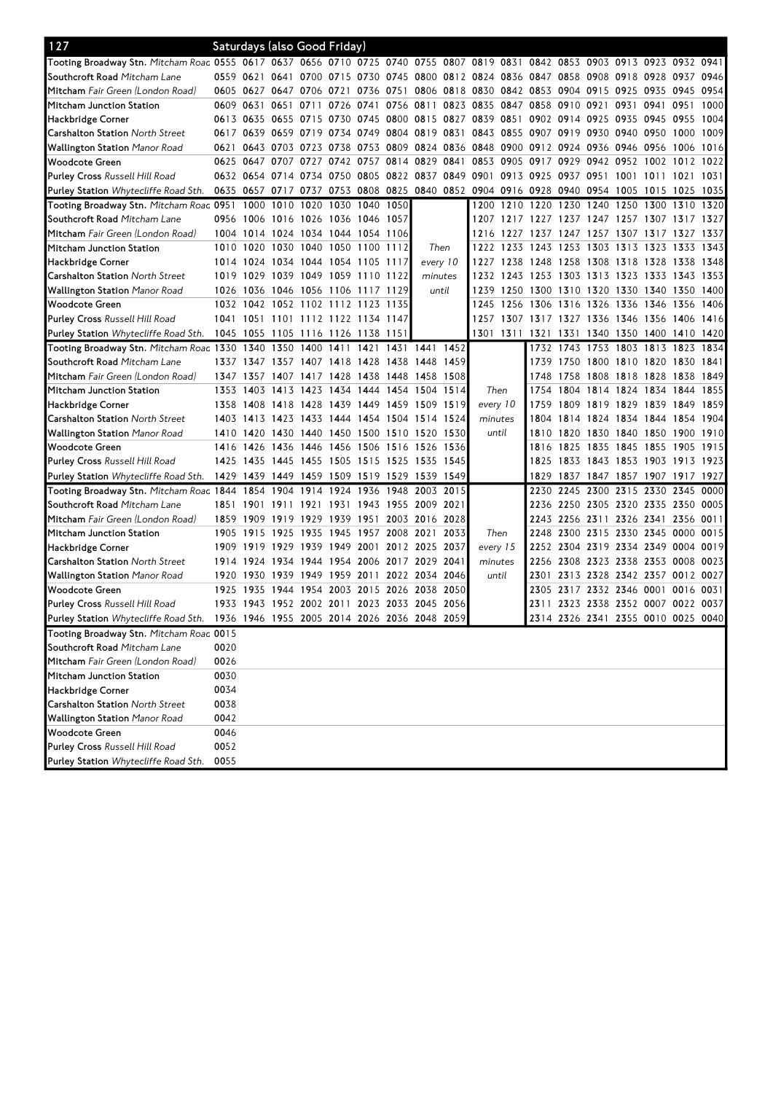| Tooting Broadway Stn. Mitcham Roac 0555 0617 0637 0656 0710 0725 0740 0755 0807 0819 0831 0842 0853 0903 0913 0923 0932 0941<br>Southcroft Road Mitcham Lane<br>0559 0621 0641 0700 0715 0730 0745 0800 0812 0824 0836 0847 0858 0908 0918 0928 0937<br>0946<br>0751 0806 0818 0830 0842 0853 0904 0915 0925 0935 0945<br>0954<br>0605 0627 0647 0706 0721 0736<br>0609 0631 0651<br>0711<br>0756 0811 0823 0835<br>0847 0858 0910 0921<br>0931 0941 0951<br>1000<br>Mitcham Junction Station<br>0726 0741<br>0613 0635 0655 0715 0730 0745<br>0800 0815 0827 0839 0851<br>0902 0914 0925 0935 0945 0955<br>1004<br>Hackbridge Corner<br>0617 0639 0659 0719 0734 0749<br>0804 0819 0831<br>0843 0855 0907 0919 0930 0940 0950<br><b>Carshalton Station North Street</b><br>1000 1009<br>0643 0703 0723 0738 0753 0809 0824 0836<br>0848 0900 0912 0924 0936 0946 0956<br>Wallington Station <i>Manor Road</i><br>1006 1016<br>0621<br>0647 0707 0727<br>0742 0757<br>0814<br>0829 0841<br>0853 0905<br>0917<br>0929<br>0942 0952 1002 1012<br>Woodcote Green<br>0625<br>1022<br>0632 0654 0714 0734 0750 0805<br>0822 0837 0849 0901 0913 0925 0937 0951<br><b>Purley Cross Russell Hill Road</b><br>1001 1011 1021 1031<br>0635 0657 0717 0737 0753 0808<br>0825 0840 0852 0904 0916 0928 0940 0954 1005 1015 1025<br>1035<br><b>Purley Station</b> Whytecliffe Road Sth.<br>Tooting Broadway Stn. Mitcham Roac 0951<br>1020<br>1030<br>1040<br>1050<br>1210 1220<br>1230 1240<br>1000<br>1010<br>1200<br>1250 1300<br>1310<br>1320<br>Southcroft Road Mitcham Lane<br>0956 1006 1016 1026 1036 1046 1057<br>1207 1217 1227 1237 1247 1257 1307 1317 1327<br>Mitcham Fair Green (London Road)<br>1004 1014 1024 1034 1044 1054 1106<br>1216 1227 1237 1247 1257 1307 1317 1327 1337<br>1010 1020 1030 1040 1050 1100<br>1222 1233 1243 1253 1303 1313 1323 1333 1343<br>Then<br>Mitcham Junction Station<br>1112<br>1238 1248 1258<br>1014 1024<br>1034 1044 1054 1105<br>every 10<br>1308 1318 1328<br>1338 1348<br>1117<br>1227<br>1019 1029<br>1039 1049 1059 1110<br>1122<br>1232 1243 1253 1303 1313 1323 1333<br>1353<br><b>Carshalton Station</b> North Street<br>minutes<br>1343<br>1046 1056 1106 1117 1129<br>1250 1300 1310 1320 1330 1340<br>1350<br><b>Wallington Station</b> Manor Road<br>1026 1036<br>until<br>1239<br>1400<br>1032 1042 1052 1102 1112 1123 1135<br>1256 1306 1316 1326 1336 1346 1356<br>Woodcote Green<br>1245<br>1406<br>1041 1051 1101 1112 1122 1134 1147<br>1257 1307 1317 1327 1336 1346 1356 1406 1416<br><b>Purley Cross</b> Russell Hill Road<br>1045 1055 1105 1116 1126 1138 1151<br>1301 1311 1321 1331<br>1340 1350 1400 1410 1420<br><b>Purley Station</b> Whytecliffe Road Sth.<br>Tooting Broadway Stn. Mitcham Roac 1330 1340 1350 1400 1411 1421 1431 1441 1452<br>1732 1743 1753 1803 1813 1823<br>1834<br>Southcroft Road Mitcham Lane<br>1337 1347 1357 1407 1418 1428<br>1438 1448 14591<br>1739 1750 1800 1810 1820 1830 1841<br>1758<br>1808 1818 1828<br>Mitcham Fair Green (London Road)<br>1347 1357 1407 1417 1428 1438<br>1448<br>1458 1508<br>1748<br>1838<br>1849<br>Then<br>1855<br>Mitcham Junction Station<br>1353 1403 1413 1423 1434 1444 1454 1504 1514<br>1754<br>1804 1814 1824 1834 1844<br>every 10<br>1809 1819 1829 1839 1849 1859<br>Hackbridge Corner<br>1358 1408 1418 1428 1439 1449 1459 1509 1519<br>1759<br>1824 1834 1844 1854 1904<br><b>Carshalton Station North Street</b><br>1403 1413 1423 1433 1444 1454 1504 1514 1524<br>1804<br>1814<br>minutes<br><b>Wallington Station</b> Manor Road<br>1410 1420 1430 1440 1450 1500 1510 1520 1530<br>1820<br>1830 1840 1850 1900<br>1910<br>until<br>1810<br>1436 1446 1456 1506 1516 1526 1536<br>1835 1845 1855<br>Woodcote Green<br>1416<br>1426<br>1825<br>1905<br>1915<br>1816<br>1425 1435 1445<br>1455 1505 1515<br>1525 1535 1545<br>1833 1843 1853 1903 1913 1923<br><b>Purley Cross</b> Russell Hill Road<br>1825<br>1837 1847 1857 1907 1917 1927<br><b>Purley Station</b> Whytecliffe Road Sth.<br>1429 1439 1449 1459 1509 1519 1529 1539 1549<br>1829<br>Tooting Broadway Stn. Mitcham Roac 1844<br>1854 1904 1914 1924 1936<br>1948<br>2003 2015<br>2230 2245<br>2300 2315 2330 2345<br>0000<br>Southcroft Road Mitcham Lane<br>1851 1901 1911 1921 1931 1943 1955 2009 2021<br>2236 2250 2305 2320 2335 2350<br>0005<br>Mitcham Fair Green (London Road)<br>2003 2016 2028<br>1859 1909<br>1919 1929<br>1939 1951<br>2243 2256 2311 2326 2341 2356 0011<br>1945<br>1957 2008 2021<br>2300 2315 2330 2345 0000<br>0015<br>Mitcham Junction Station<br>1905 1915<br>1925<br>1935<br>2033<br>Then<br>2248<br>1939<br>1949 2001<br>2012 2025 2037<br>2319<br>2334 2349 0004 0019<br>Hackbridge Corner<br>1909 1919<br>1929<br>every 15<br>2252 2304<br>2256 2308 2323 2338 2353 0008 0023<br><b>Carshalton Station North Street</b><br>1914 1924 1934 1944 1954 2006<br>2017 2029 2041<br>minutes<br>Wallington Station <i>Manor Road</i><br>1920 1930 1939 1949 1959 2011 2022 2034 2046<br>2301<br>2313 2328 2342 2357 0012 0027<br>until<br>1935<br>1944 1954 2003 2015<br>2026<br>2317 2332 2346 0001 0016<br>1925<br>2038 2050<br>2305<br>0031<br>Woodcote Green<br>2311 2323 2338 2352 0007 0022 0037<br>1933 1943 1952 2002 2011 2023 2033 2045 2056<br><b>Purley Cross Russell Hill Road</b><br>2314 2326 2341 2355 0010 0025 0040<br>Purley Station Whytecliffe Road Sth. 1936 1946 1955 2005 2014 2026 2036 2048 2059<br>Tooting Broadway Stn. Mitcham Roac 0015<br>Southcroft Road Mitcham Lane<br>0020<br>Mitcham Fair Green (London Road)<br>0026<br>0030<br>Mitcham Junction Station<br>0034<br>Hackbridge Corner<br>Carshalton Station North Street<br>0038<br>Wallington Station Manor Road<br>0042<br>0046<br>Woodcote Green<br>Purley Cross Russell Hill Road<br>0052 | 127                                  |      |  | Saturdays (also Good Friday) |  |  |  |  |  |  |  |
|-------------------------------------------------------------------------------------------------------------------------------------------------------------------------------------------------------------------------------------------------------------------------------------------------------------------------------------------------------------------------------------------------------------------------------------------------------------------------------------------------------------------------------------------------------------------------------------------------------------------------------------------------------------------------------------------------------------------------------------------------------------------------------------------------------------------------------------------------------------------------------------------------------------------------------------------------------------------------------------------------------------------------------------------------------------------------------------------------------------------------------------------------------------------------------------------------------------------------------------------------------------------------------------------------------------------------------------------------------------------------------------------------------------------------------------------------------------------------------------------------------------------------------------------------------------------------------------------------------------------------------------------------------------------------------------------------------------------------------------------------------------------------------------------------------------------------------------------------------------------------------------------------------------------------------------------------------------------------------------------------------------------------------------------------------------------------------------------------------------------------------------------------------------------------------------------------------------------------------------------------------------------------------------------------------------------------------------------------------------------------------------------------------------------------------------------------------------------------------------------------------------------------------------------------------------------------------------------------------------------------------------------------------------------------------------------------------------------------------------------------------------------------------------------------------------------------------------------------------------------------------------------------------------------------------------------------------------------------------------------------------------------------------------------------------------------------------------------------------------------------------------------------------------------------------------------------------------------------------------------------------------------------------------------------------------------------------------------------------------------------------------------------------------------------------------------------------------------------------------------------------------------------------------------------------------------------------------------------------------------------------------------------------------------------------------------------------------------------------------------------------------------------------------------------------------------------------------------------------------------------------------------------------------------------------------------------------------------------------------------------------------------------------------------------------------------------------------------------------------------------------------------------------------------------------------------------------------------------------------------------------------------------------------------------------------------------------------------------------------------------------------------------------------------------------------------------------------------------------------------------------------------------------------------------------------------------------------------------------------------------------------------------------------------------------------------------------------------------------------------------------------------------------------------------------------------------------------------------------------------------------------------------------------------------------------------------------------------------------------------------------------------------------------------------------------------------------------------------------------------------------------------------------------------------------------------------------------------------------------------------------------------------------------------------------------------------------------------------------------------------------------------------------------------------------------------------------------------------------------------------------------------------------------------------------------------------------------------------------------------------------------------------------------------------------------------------------------------------------------------------------------------------------------------------------------------------------------------|--------------------------------------|------|--|------------------------------|--|--|--|--|--|--|--|
|                                                                                                                                                                                                                                                                                                                                                                                                                                                                                                                                                                                                                                                                                                                                                                                                                                                                                                                                                                                                                                                                                                                                                                                                                                                                                                                                                                                                                                                                                                                                                                                                                                                                                                                                                                                                                                                                                                                                                                                                                                                                                                                                                                                                                                                                                                                                                                                                                                                                                                                                                                                                                                                                                                                                                                                                                                                                                                                                                                                                                                                                                                                                                                                                                                                                                                                                                                                                                                                                                                                                                                                                                                                                                                                                                                                                                                                                                                                                                                                                                                                                                                                                                                                                                                                                                                                                                                                                                                                                                                                                                                                                                                                                                                                                                                                                                                                                                                                                                                                                                                                                                                                                                                                                                                                                                                                                                                                                                                                                                                                                                                                                                                                                                                                                                                                                                                           |                                      |      |  |                              |  |  |  |  |  |  |  |
|                                                                                                                                                                                                                                                                                                                                                                                                                                                                                                                                                                                                                                                                                                                                                                                                                                                                                                                                                                                                                                                                                                                                                                                                                                                                                                                                                                                                                                                                                                                                                                                                                                                                                                                                                                                                                                                                                                                                                                                                                                                                                                                                                                                                                                                                                                                                                                                                                                                                                                                                                                                                                                                                                                                                                                                                                                                                                                                                                                                                                                                                                                                                                                                                                                                                                                                                                                                                                                                                                                                                                                                                                                                                                                                                                                                                                                                                                                                                                                                                                                                                                                                                                                                                                                                                                                                                                                                                                                                                                                                                                                                                                                                                                                                                                                                                                                                                                                                                                                                                                                                                                                                                                                                                                                                                                                                                                                                                                                                                                                                                                                                                                                                                                                                                                                                                                                           |                                      |      |  |                              |  |  |  |  |  |  |  |
|                                                                                                                                                                                                                                                                                                                                                                                                                                                                                                                                                                                                                                                                                                                                                                                                                                                                                                                                                                                                                                                                                                                                                                                                                                                                                                                                                                                                                                                                                                                                                                                                                                                                                                                                                                                                                                                                                                                                                                                                                                                                                                                                                                                                                                                                                                                                                                                                                                                                                                                                                                                                                                                                                                                                                                                                                                                                                                                                                                                                                                                                                                                                                                                                                                                                                                                                                                                                                                                                                                                                                                                                                                                                                                                                                                                                                                                                                                                                                                                                                                                                                                                                                                                                                                                                                                                                                                                                                                                                                                                                                                                                                                                                                                                                                                                                                                                                                                                                                                                                                                                                                                                                                                                                                                                                                                                                                                                                                                                                                                                                                                                                                                                                                                                                                                                                                                           | Mitcham Fair Green (London Road)     |      |  |                              |  |  |  |  |  |  |  |
|                                                                                                                                                                                                                                                                                                                                                                                                                                                                                                                                                                                                                                                                                                                                                                                                                                                                                                                                                                                                                                                                                                                                                                                                                                                                                                                                                                                                                                                                                                                                                                                                                                                                                                                                                                                                                                                                                                                                                                                                                                                                                                                                                                                                                                                                                                                                                                                                                                                                                                                                                                                                                                                                                                                                                                                                                                                                                                                                                                                                                                                                                                                                                                                                                                                                                                                                                                                                                                                                                                                                                                                                                                                                                                                                                                                                                                                                                                                                                                                                                                                                                                                                                                                                                                                                                                                                                                                                                                                                                                                                                                                                                                                                                                                                                                                                                                                                                                                                                                                                                                                                                                                                                                                                                                                                                                                                                                                                                                                                                                                                                                                                                                                                                                                                                                                                                                           |                                      |      |  |                              |  |  |  |  |  |  |  |
|                                                                                                                                                                                                                                                                                                                                                                                                                                                                                                                                                                                                                                                                                                                                                                                                                                                                                                                                                                                                                                                                                                                                                                                                                                                                                                                                                                                                                                                                                                                                                                                                                                                                                                                                                                                                                                                                                                                                                                                                                                                                                                                                                                                                                                                                                                                                                                                                                                                                                                                                                                                                                                                                                                                                                                                                                                                                                                                                                                                                                                                                                                                                                                                                                                                                                                                                                                                                                                                                                                                                                                                                                                                                                                                                                                                                                                                                                                                                                                                                                                                                                                                                                                                                                                                                                                                                                                                                                                                                                                                                                                                                                                                                                                                                                                                                                                                                                                                                                                                                                                                                                                                                                                                                                                                                                                                                                                                                                                                                                                                                                                                                                                                                                                                                                                                                                                           |                                      |      |  |                              |  |  |  |  |  |  |  |
|                                                                                                                                                                                                                                                                                                                                                                                                                                                                                                                                                                                                                                                                                                                                                                                                                                                                                                                                                                                                                                                                                                                                                                                                                                                                                                                                                                                                                                                                                                                                                                                                                                                                                                                                                                                                                                                                                                                                                                                                                                                                                                                                                                                                                                                                                                                                                                                                                                                                                                                                                                                                                                                                                                                                                                                                                                                                                                                                                                                                                                                                                                                                                                                                                                                                                                                                                                                                                                                                                                                                                                                                                                                                                                                                                                                                                                                                                                                                                                                                                                                                                                                                                                                                                                                                                                                                                                                                                                                                                                                                                                                                                                                                                                                                                                                                                                                                                                                                                                                                                                                                                                                                                                                                                                                                                                                                                                                                                                                                                                                                                                                                                                                                                                                                                                                                                                           |                                      |      |  |                              |  |  |  |  |  |  |  |
|                                                                                                                                                                                                                                                                                                                                                                                                                                                                                                                                                                                                                                                                                                                                                                                                                                                                                                                                                                                                                                                                                                                                                                                                                                                                                                                                                                                                                                                                                                                                                                                                                                                                                                                                                                                                                                                                                                                                                                                                                                                                                                                                                                                                                                                                                                                                                                                                                                                                                                                                                                                                                                                                                                                                                                                                                                                                                                                                                                                                                                                                                                                                                                                                                                                                                                                                                                                                                                                                                                                                                                                                                                                                                                                                                                                                                                                                                                                                                                                                                                                                                                                                                                                                                                                                                                                                                                                                                                                                                                                                                                                                                                                                                                                                                                                                                                                                                                                                                                                                                                                                                                                                                                                                                                                                                                                                                                                                                                                                                                                                                                                                                                                                                                                                                                                                                                           |                                      |      |  |                              |  |  |  |  |  |  |  |
|                                                                                                                                                                                                                                                                                                                                                                                                                                                                                                                                                                                                                                                                                                                                                                                                                                                                                                                                                                                                                                                                                                                                                                                                                                                                                                                                                                                                                                                                                                                                                                                                                                                                                                                                                                                                                                                                                                                                                                                                                                                                                                                                                                                                                                                                                                                                                                                                                                                                                                                                                                                                                                                                                                                                                                                                                                                                                                                                                                                                                                                                                                                                                                                                                                                                                                                                                                                                                                                                                                                                                                                                                                                                                                                                                                                                                                                                                                                                                                                                                                                                                                                                                                                                                                                                                                                                                                                                                                                                                                                                                                                                                                                                                                                                                                                                                                                                                                                                                                                                                                                                                                                                                                                                                                                                                                                                                                                                                                                                                                                                                                                                                                                                                                                                                                                                                                           |                                      |      |  |                              |  |  |  |  |  |  |  |
|                                                                                                                                                                                                                                                                                                                                                                                                                                                                                                                                                                                                                                                                                                                                                                                                                                                                                                                                                                                                                                                                                                                                                                                                                                                                                                                                                                                                                                                                                                                                                                                                                                                                                                                                                                                                                                                                                                                                                                                                                                                                                                                                                                                                                                                                                                                                                                                                                                                                                                                                                                                                                                                                                                                                                                                                                                                                                                                                                                                                                                                                                                                                                                                                                                                                                                                                                                                                                                                                                                                                                                                                                                                                                                                                                                                                                                                                                                                                                                                                                                                                                                                                                                                                                                                                                                                                                                                                                                                                                                                                                                                                                                                                                                                                                                                                                                                                                                                                                                                                                                                                                                                                                                                                                                                                                                                                                                                                                                                                                                                                                                                                                                                                                                                                                                                                                                           |                                      |      |  |                              |  |  |  |  |  |  |  |
|                                                                                                                                                                                                                                                                                                                                                                                                                                                                                                                                                                                                                                                                                                                                                                                                                                                                                                                                                                                                                                                                                                                                                                                                                                                                                                                                                                                                                                                                                                                                                                                                                                                                                                                                                                                                                                                                                                                                                                                                                                                                                                                                                                                                                                                                                                                                                                                                                                                                                                                                                                                                                                                                                                                                                                                                                                                                                                                                                                                                                                                                                                                                                                                                                                                                                                                                                                                                                                                                                                                                                                                                                                                                                                                                                                                                                                                                                                                                                                                                                                                                                                                                                                                                                                                                                                                                                                                                                                                                                                                                                                                                                                                                                                                                                                                                                                                                                                                                                                                                                                                                                                                                                                                                                                                                                                                                                                                                                                                                                                                                                                                                                                                                                                                                                                                                                                           |                                      |      |  |                              |  |  |  |  |  |  |  |
|                                                                                                                                                                                                                                                                                                                                                                                                                                                                                                                                                                                                                                                                                                                                                                                                                                                                                                                                                                                                                                                                                                                                                                                                                                                                                                                                                                                                                                                                                                                                                                                                                                                                                                                                                                                                                                                                                                                                                                                                                                                                                                                                                                                                                                                                                                                                                                                                                                                                                                                                                                                                                                                                                                                                                                                                                                                                                                                                                                                                                                                                                                                                                                                                                                                                                                                                                                                                                                                                                                                                                                                                                                                                                                                                                                                                                                                                                                                                                                                                                                                                                                                                                                                                                                                                                                                                                                                                                                                                                                                                                                                                                                                                                                                                                                                                                                                                                                                                                                                                                                                                                                                                                                                                                                                                                                                                                                                                                                                                                                                                                                                                                                                                                                                                                                                                                                           |                                      |      |  |                              |  |  |  |  |  |  |  |
|                                                                                                                                                                                                                                                                                                                                                                                                                                                                                                                                                                                                                                                                                                                                                                                                                                                                                                                                                                                                                                                                                                                                                                                                                                                                                                                                                                                                                                                                                                                                                                                                                                                                                                                                                                                                                                                                                                                                                                                                                                                                                                                                                                                                                                                                                                                                                                                                                                                                                                                                                                                                                                                                                                                                                                                                                                                                                                                                                                                                                                                                                                                                                                                                                                                                                                                                                                                                                                                                                                                                                                                                                                                                                                                                                                                                                                                                                                                                                                                                                                                                                                                                                                                                                                                                                                                                                                                                                                                                                                                                                                                                                                                                                                                                                                                                                                                                                                                                                                                                                                                                                                                                                                                                                                                                                                                                                                                                                                                                                                                                                                                                                                                                                                                                                                                                                                           |                                      |      |  |                              |  |  |  |  |  |  |  |
|                                                                                                                                                                                                                                                                                                                                                                                                                                                                                                                                                                                                                                                                                                                                                                                                                                                                                                                                                                                                                                                                                                                                                                                                                                                                                                                                                                                                                                                                                                                                                                                                                                                                                                                                                                                                                                                                                                                                                                                                                                                                                                                                                                                                                                                                                                                                                                                                                                                                                                                                                                                                                                                                                                                                                                                                                                                                                                                                                                                                                                                                                                                                                                                                                                                                                                                                                                                                                                                                                                                                                                                                                                                                                                                                                                                                                                                                                                                                                                                                                                                                                                                                                                                                                                                                                                                                                                                                                                                                                                                                                                                                                                                                                                                                                                                                                                                                                                                                                                                                                                                                                                                                                                                                                                                                                                                                                                                                                                                                                                                                                                                                                                                                                                                                                                                                                                           |                                      |      |  |                              |  |  |  |  |  |  |  |
|                                                                                                                                                                                                                                                                                                                                                                                                                                                                                                                                                                                                                                                                                                                                                                                                                                                                                                                                                                                                                                                                                                                                                                                                                                                                                                                                                                                                                                                                                                                                                                                                                                                                                                                                                                                                                                                                                                                                                                                                                                                                                                                                                                                                                                                                                                                                                                                                                                                                                                                                                                                                                                                                                                                                                                                                                                                                                                                                                                                                                                                                                                                                                                                                                                                                                                                                                                                                                                                                                                                                                                                                                                                                                                                                                                                                                                                                                                                                                                                                                                                                                                                                                                                                                                                                                                                                                                                                                                                                                                                                                                                                                                                                                                                                                                                                                                                                                                                                                                                                                                                                                                                                                                                                                                                                                                                                                                                                                                                                                                                                                                                                                                                                                                                                                                                                                                           |                                      |      |  |                              |  |  |  |  |  |  |  |
|                                                                                                                                                                                                                                                                                                                                                                                                                                                                                                                                                                                                                                                                                                                                                                                                                                                                                                                                                                                                                                                                                                                                                                                                                                                                                                                                                                                                                                                                                                                                                                                                                                                                                                                                                                                                                                                                                                                                                                                                                                                                                                                                                                                                                                                                                                                                                                                                                                                                                                                                                                                                                                                                                                                                                                                                                                                                                                                                                                                                                                                                                                                                                                                                                                                                                                                                                                                                                                                                                                                                                                                                                                                                                                                                                                                                                                                                                                                                                                                                                                                                                                                                                                                                                                                                                                                                                                                                                                                                                                                                                                                                                                                                                                                                                                                                                                                                                                                                                                                                                                                                                                                                                                                                                                                                                                                                                                                                                                                                                                                                                                                                                                                                                                                                                                                                                                           | Hackbridge Corner                    |      |  |                              |  |  |  |  |  |  |  |
|                                                                                                                                                                                                                                                                                                                                                                                                                                                                                                                                                                                                                                                                                                                                                                                                                                                                                                                                                                                                                                                                                                                                                                                                                                                                                                                                                                                                                                                                                                                                                                                                                                                                                                                                                                                                                                                                                                                                                                                                                                                                                                                                                                                                                                                                                                                                                                                                                                                                                                                                                                                                                                                                                                                                                                                                                                                                                                                                                                                                                                                                                                                                                                                                                                                                                                                                                                                                                                                                                                                                                                                                                                                                                                                                                                                                                                                                                                                                                                                                                                                                                                                                                                                                                                                                                                                                                                                                                                                                                                                                                                                                                                                                                                                                                                                                                                                                                                                                                                                                                                                                                                                                                                                                                                                                                                                                                                                                                                                                                                                                                                                                                                                                                                                                                                                                                                           |                                      |      |  |                              |  |  |  |  |  |  |  |
|                                                                                                                                                                                                                                                                                                                                                                                                                                                                                                                                                                                                                                                                                                                                                                                                                                                                                                                                                                                                                                                                                                                                                                                                                                                                                                                                                                                                                                                                                                                                                                                                                                                                                                                                                                                                                                                                                                                                                                                                                                                                                                                                                                                                                                                                                                                                                                                                                                                                                                                                                                                                                                                                                                                                                                                                                                                                                                                                                                                                                                                                                                                                                                                                                                                                                                                                                                                                                                                                                                                                                                                                                                                                                                                                                                                                                                                                                                                                                                                                                                                                                                                                                                                                                                                                                                                                                                                                                                                                                                                                                                                                                                                                                                                                                                                                                                                                                                                                                                                                                                                                                                                                                                                                                                                                                                                                                                                                                                                                                                                                                                                                                                                                                                                                                                                                                                           |                                      |      |  |                              |  |  |  |  |  |  |  |
|                                                                                                                                                                                                                                                                                                                                                                                                                                                                                                                                                                                                                                                                                                                                                                                                                                                                                                                                                                                                                                                                                                                                                                                                                                                                                                                                                                                                                                                                                                                                                                                                                                                                                                                                                                                                                                                                                                                                                                                                                                                                                                                                                                                                                                                                                                                                                                                                                                                                                                                                                                                                                                                                                                                                                                                                                                                                                                                                                                                                                                                                                                                                                                                                                                                                                                                                                                                                                                                                                                                                                                                                                                                                                                                                                                                                                                                                                                                                                                                                                                                                                                                                                                                                                                                                                                                                                                                                                                                                                                                                                                                                                                                                                                                                                                                                                                                                                                                                                                                                                                                                                                                                                                                                                                                                                                                                                                                                                                                                                                                                                                                                                                                                                                                                                                                                                                           |                                      |      |  |                              |  |  |  |  |  |  |  |
|                                                                                                                                                                                                                                                                                                                                                                                                                                                                                                                                                                                                                                                                                                                                                                                                                                                                                                                                                                                                                                                                                                                                                                                                                                                                                                                                                                                                                                                                                                                                                                                                                                                                                                                                                                                                                                                                                                                                                                                                                                                                                                                                                                                                                                                                                                                                                                                                                                                                                                                                                                                                                                                                                                                                                                                                                                                                                                                                                                                                                                                                                                                                                                                                                                                                                                                                                                                                                                                                                                                                                                                                                                                                                                                                                                                                                                                                                                                                                                                                                                                                                                                                                                                                                                                                                                                                                                                                                                                                                                                                                                                                                                                                                                                                                                                                                                                                                                                                                                                                                                                                                                                                                                                                                                                                                                                                                                                                                                                                                                                                                                                                                                                                                                                                                                                                                                           |                                      |      |  |                              |  |  |  |  |  |  |  |
|                                                                                                                                                                                                                                                                                                                                                                                                                                                                                                                                                                                                                                                                                                                                                                                                                                                                                                                                                                                                                                                                                                                                                                                                                                                                                                                                                                                                                                                                                                                                                                                                                                                                                                                                                                                                                                                                                                                                                                                                                                                                                                                                                                                                                                                                                                                                                                                                                                                                                                                                                                                                                                                                                                                                                                                                                                                                                                                                                                                                                                                                                                                                                                                                                                                                                                                                                                                                                                                                                                                                                                                                                                                                                                                                                                                                                                                                                                                                                                                                                                                                                                                                                                                                                                                                                                                                                                                                                                                                                                                                                                                                                                                                                                                                                                                                                                                                                                                                                                                                                                                                                                                                                                                                                                                                                                                                                                                                                                                                                                                                                                                                                                                                                                                                                                                                                                           |                                      |      |  |                              |  |  |  |  |  |  |  |
|                                                                                                                                                                                                                                                                                                                                                                                                                                                                                                                                                                                                                                                                                                                                                                                                                                                                                                                                                                                                                                                                                                                                                                                                                                                                                                                                                                                                                                                                                                                                                                                                                                                                                                                                                                                                                                                                                                                                                                                                                                                                                                                                                                                                                                                                                                                                                                                                                                                                                                                                                                                                                                                                                                                                                                                                                                                                                                                                                                                                                                                                                                                                                                                                                                                                                                                                                                                                                                                                                                                                                                                                                                                                                                                                                                                                                                                                                                                                                                                                                                                                                                                                                                                                                                                                                                                                                                                                                                                                                                                                                                                                                                                                                                                                                                                                                                                                                                                                                                                                                                                                                                                                                                                                                                                                                                                                                                                                                                                                                                                                                                                                                                                                                                                                                                                                                                           |                                      |      |  |                              |  |  |  |  |  |  |  |
|                                                                                                                                                                                                                                                                                                                                                                                                                                                                                                                                                                                                                                                                                                                                                                                                                                                                                                                                                                                                                                                                                                                                                                                                                                                                                                                                                                                                                                                                                                                                                                                                                                                                                                                                                                                                                                                                                                                                                                                                                                                                                                                                                                                                                                                                                                                                                                                                                                                                                                                                                                                                                                                                                                                                                                                                                                                                                                                                                                                                                                                                                                                                                                                                                                                                                                                                                                                                                                                                                                                                                                                                                                                                                                                                                                                                                                                                                                                                                                                                                                                                                                                                                                                                                                                                                                                                                                                                                                                                                                                                                                                                                                                                                                                                                                                                                                                                                                                                                                                                                                                                                                                                                                                                                                                                                                                                                                                                                                                                                                                                                                                                                                                                                                                                                                                                                                           |                                      |      |  |                              |  |  |  |  |  |  |  |
|                                                                                                                                                                                                                                                                                                                                                                                                                                                                                                                                                                                                                                                                                                                                                                                                                                                                                                                                                                                                                                                                                                                                                                                                                                                                                                                                                                                                                                                                                                                                                                                                                                                                                                                                                                                                                                                                                                                                                                                                                                                                                                                                                                                                                                                                                                                                                                                                                                                                                                                                                                                                                                                                                                                                                                                                                                                                                                                                                                                                                                                                                                                                                                                                                                                                                                                                                                                                                                                                                                                                                                                                                                                                                                                                                                                                                                                                                                                                                                                                                                                                                                                                                                                                                                                                                                                                                                                                                                                                                                                                                                                                                                                                                                                                                                                                                                                                                                                                                                                                                                                                                                                                                                                                                                                                                                                                                                                                                                                                                                                                                                                                                                                                                                                                                                                                                                           |                                      |      |  |                              |  |  |  |  |  |  |  |
|                                                                                                                                                                                                                                                                                                                                                                                                                                                                                                                                                                                                                                                                                                                                                                                                                                                                                                                                                                                                                                                                                                                                                                                                                                                                                                                                                                                                                                                                                                                                                                                                                                                                                                                                                                                                                                                                                                                                                                                                                                                                                                                                                                                                                                                                                                                                                                                                                                                                                                                                                                                                                                                                                                                                                                                                                                                                                                                                                                                                                                                                                                                                                                                                                                                                                                                                                                                                                                                                                                                                                                                                                                                                                                                                                                                                                                                                                                                                                                                                                                                                                                                                                                                                                                                                                                                                                                                                                                                                                                                                                                                                                                                                                                                                                                                                                                                                                                                                                                                                                                                                                                                                                                                                                                                                                                                                                                                                                                                                                                                                                                                                                                                                                                                                                                                                                                           |                                      |      |  |                              |  |  |  |  |  |  |  |
|                                                                                                                                                                                                                                                                                                                                                                                                                                                                                                                                                                                                                                                                                                                                                                                                                                                                                                                                                                                                                                                                                                                                                                                                                                                                                                                                                                                                                                                                                                                                                                                                                                                                                                                                                                                                                                                                                                                                                                                                                                                                                                                                                                                                                                                                                                                                                                                                                                                                                                                                                                                                                                                                                                                                                                                                                                                                                                                                                                                                                                                                                                                                                                                                                                                                                                                                                                                                                                                                                                                                                                                                                                                                                                                                                                                                                                                                                                                                                                                                                                                                                                                                                                                                                                                                                                                                                                                                                                                                                                                                                                                                                                                                                                                                                                                                                                                                                                                                                                                                                                                                                                                                                                                                                                                                                                                                                                                                                                                                                                                                                                                                                                                                                                                                                                                                                                           |                                      |      |  |                              |  |  |  |  |  |  |  |
|                                                                                                                                                                                                                                                                                                                                                                                                                                                                                                                                                                                                                                                                                                                                                                                                                                                                                                                                                                                                                                                                                                                                                                                                                                                                                                                                                                                                                                                                                                                                                                                                                                                                                                                                                                                                                                                                                                                                                                                                                                                                                                                                                                                                                                                                                                                                                                                                                                                                                                                                                                                                                                                                                                                                                                                                                                                                                                                                                                                                                                                                                                                                                                                                                                                                                                                                                                                                                                                                                                                                                                                                                                                                                                                                                                                                                                                                                                                                                                                                                                                                                                                                                                                                                                                                                                                                                                                                                                                                                                                                                                                                                                                                                                                                                                                                                                                                                                                                                                                                                                                                                                                                                                                                                                                                                                                                                                                                                                                                                                                                                                                                                                                                                                                                                                                                                                           |                                      |      |  |                              |  |  |  |  |  |  |  |
|                                                                                                                                                                                                                                                                                                                                                                                                                                                                                                                                                                                                                                                                                                                                                                                                                                                                                                                                                                                                                                                                                                                                                                                                                                                                                                                                                                                                                                                                                                                                                                                                                                                                                                                                                                                                                                                                                                                                                                                                                                                                                                                                                                                                                                                                                                                                                                                                                                                                                                                                                                                                                                                                                                                                                                                                                                                                                                                                                                                                                                                                                                                                                                                                                                                                                                                                                                                                                                                                                                                                                                                                                                                                                                                                                                                                                                                                                                                                                                                                                                                                                                                                                                                                                                                                                                                                                                                                                                                                                                                                                                                                                                                                                                                                                                                                                                                                                                                                                                                                                                                                                                                                                                                                                                                                                                                                                                                                                                                                                                                                                                                                                                                                                                                                                                                                                                           |                                      |      |  |                              |  |  |  |  |  |  |  |
|                                                                                                                                                                                                                                                                                                                                                                                                                                                                                                                                                                                                                                                                                                                                                                                                                                                                                                                                                                                                                                                                                                                                                                                                                                                                                                                                                                                                                                                                                                                                                                                                                                                                                                                                                                                                                                                                                                                                                                                                                                                                                                                                                                                                                                                                                                                                                                                                                                                                                                                                                                                                                                                                                                                                                                                                                                                                                                                                                                                                                                                                                                                                                                                                                                                                                                                                                                                                                                                                                                                                                                                                                                                                                                                                                                                                                                                                                                                                                                                                                                                                                                                                                                                                                                                                                                                                                                                                                                                                                                                                                                                                                                                                                                                                                                                                                                                                                                                                                                                                                                                                                                                                                                                                                                                                                                                                                                                                                                                                                                                                                                                                                                                                                                                                                                                                                                           |                                      |      |  |                              |  |  |  |  |  |  |  |
|                                                                                                                                                                                                                                                                                                                                                                                                                                                                                                                                                                                                                                                                                                                                                                                                                                                                                                                                                                                                                                                                                                                                                                                                                                                                                                                                                                                                                                                                                                                                                                                                                                                                                                                                                                                                                                                                                                                                                                                                                                                                                                                                                                                                                                                                                                                                                                                                                                                                                                                                                                                                                                                                                                                                                                                                                                                                                                                                                                                                                                                                                                                                                                                                                                                                                                                                                                                                                                                                                                                                                                                                                                                                                                                                                                                                                                                                                                                                                                                                                                                                                                                                                                                                                                                                                                                                                                                                                                                                                                                                                                                                                                                                                                                                                                                                                                                                                                                                                                                                                                                                                                                                                                                                                                                                                                                                                                                                                                                                                                                                                                                                                                                                                                                                                                                                                                           |                                      |      |  |                              |  |  |  |  |  |  |  |
|                                                                                                                                                                                                                                                                                                                                                                                                                                                                                                                                                                                                                                                                                                                                                                                                                                                                                                                                                                                                                                                                                                                                                                                                                                                                                                                                                                                                                                                                                                                                                                                                                                                                                                                                                                                                                                                                                                                                                                                                                                                                                                                                                                                                                                                                                                                                                                                                                                                                                                                                                                                                                                                                                                                                                                                                                                                                                                                                                                                                                                                                                                                                                                                                                                                                                                                                                                                                                                                                                                                                                                                                                                                                                                                                                                                                                                                                                                                                                                                                                                                                                                                                                                                                                                                                                                                                                                                                                                                                                                                                                                                                                                                                                                                                                                                                                                                                                                                                                                                                                                                                                                                                                                                                                                                                                                                                                                                                                                                                                                                                                                                                                                                                                                                                                                                                                                           |                                      |      |  |                              |  |  |  |  |  |  |  |
|                                                                                                                                                                                                                                                                                                                                                                                                                                                                                                                                                                                                                                                                                                                                                                                                                                                                                                                                                                                                                                                                                                                                                                                                                                                                                                                                                                                                                                                                                                                                                                                                                                                                                                                                                                                                                                                                                                                                                                                                                                                                                                                                                                                                                                                                                                                                                                                                                                                                                                                                                                                                                                                                                                                                                                                                                                                                                                                                                                                                                                                                                                                                                                                                                                                                                                                                                                                                                                                                                                                                                                                                                                                                                                                                                                                                                                                                                                                                                                                                                                                                                                                                                                                                                                                                                                                                                                                                                                                                                                                                                                                                                                                                                                                                                                                                                                                                                                                                                                                                                                                                                                                                                                                                                                                                                                                                                                                                                                                                                                                                                                                                                                                                                                                                                                                                                                           |                                      |      |  |                              |  |  |  |  |  |  |  |
|                                                                                                                                                                                                                                                                                                                                                                                                                                                                                                                                                                                                                                                                                                                                                                                                                                                                                                                                                                                                                                                                                                                                                                                                                                                                                                                                                                                                                                                                                                                                                                                                                                                                                                                                                                                                                                                                                                                                                                                                                                                                                                                                                                                                                                                                                                                                                                                                                                                                                                                                                                                                                                                                                                                                                                                                                                                                                                                                                                                                                                                                                                                                                                                                                                                                                                                                                                                                                                                                                                                                                                                                                                                                                                                                                                                                                                                                                                                                                                                                                                                                                                                                                                                                                                                                                                                                                                                                                                                                                                                                                                                                                                                                                                                                                                                                                                                                                                                                                                                                                                                                                                                                                                                                                                                                                                                                                                                                                                                                                                                                                                                                                                                                                                                                                                                                                                           |                                      |      |  |                              |  |  |  |  |  |  |  |
|                                                                                                                                                                                                                                                                                                                                                                                                                                                                                                                                                                                                                                                                                                                                                                                                                                                                                                                                                                                                                                                                                                                                                                                                                                                                                                                                                                                                                                                                                                                                                                                                                                                                                                                                                                                                                                                                                                                                                                                                                                                                                                                                                                                                                                                                                                                                                                                                                                                                                                                                                                                                                                                                                                                                                                                                                                                                                                                                                                                                                                                                                                                                                                                                                                                                                                                                                                                                                                                                                                                                                                                                                                                                                                                                                                                                                                                                                                                                                                                                                                                                                                                                                                                                                                                                                                                                                                                                                                                                                                                                                                                                                                                                                                                                                                                                                                                                                                                                                                                                                                                                                                                                                                                                                                                                                                                                                                                                                                                                                                                                                                                                                                                                                                                                                                                                                                           |                                      |      |  |                              |  |  |  |  |  |  |  |
|                                                                                                                                                                                                                                                                                                                                                                                                                                                                                                                                                                                                                                                                                                                                                                                                                                                                                                                                                                                                                                                                                                                                                                                                                                                                                                                                                                                                                                                                                                                                                                                                                                                                                                                                                                                                                                                                                                                                                                                                                                                                                                                                                                                                                                                                                                                                                                                                                                                                                                                                                                                                                                                                                                                                                                                                                                                                                                                                                                                                                                                                                                                                                                                                                                                                                                                                                                                                                                                                                                                                                                                                                                                                                                                                                                                                                                                                                                                                                                                                                                                                                                                                                                                                                                                                                                                                                                                                                                                                                                                                                                                                                                                                                                                                                                                                                                                                                                                                                                                                                                                                                                                                                                                                                                                                                                                                                                                                                                                                                                                                                                                                                                                                                                                                                                                                                                           |                                      |      |  |                              |  |  |  |  |  |  |  |
|                                                                                                                                                                                                                                                                                                                                                                                                                                                                                                                                                                                                                                                                                                                                                                                                                                                                                                                                                                                                                                                                                                                                                                                                                                                                                                                                                                                                                                                                                                                                                                                                                                                                                                                                                                                                                                                                                                                                                                                                                                                                                                                                                                                                                                                                                                                                                                                                                                                                                                                                                                                                                                                                                                                                                                                                                                                                                                                                                                                                                                                                                                                                                                                                                                                                                                                                                                                                                                                                                                                                                                                                                                                                                                                                                                                                                                                                                                                                                                                                                                                                                                                                                                                                                                                                                                                                                                                                                                                                                                                                                                                                                                                                                                                                                                                                                                                                                                                                                                                                                                                                                                                                                                                                                                                                                                                                                                                                                                                                                                                                                                                                                                                                                                                                                                                                                                           |                                      |      |  |                              |  |  |  |  |  |  |  |
|                                                                                                                                                                                                                                                                                                                                                                                                                                                                                                                                                                                                                                                                                                                                                                                                                                                                                                                                                                                                                                                                                                                                                                                                                                                                                                                                                                                                                                                                                                                                                                                                                                                                                                                                                                                                                                                                                                                                                                                                                                                                                                                                                                                                                                                                                                                                                                                                                                                                                                                                                                                                                                                                                                                                                                                                                                                                                                                                                                                                                                                                                                                                                                                                                                                                                                                                                                                                                                                                                                                                                                                                                                                                                                                                                                                                                                                                                                                                                                                                                                                                                                                                                                                                                                                                                                                                                                                                                                                                                                                                                                                                                                                                                                                                                                                                                                                                                                                                                                                                                                                                                                                                                                                                                                                                                                                                                                                                                                                                                                                                                                                                                                                                                                                                                                                                                                           |                                      |      |  |                              |  |  |  |  |  |  |  |
|                                                                                                                                                                                                                                                                                                                                                                                                                                                                                                                                                                                                                                                                                                                                                                                                                                                                                                                                                                                                                                                                                                                                                                                                                                                                                                                                                                                                                                                                                                                                                                                                                                                                                                                                                                                                                                                                                                                                                                                                                                                                                                                                                                                                                                                                                                                                                                                                                                                                                                                                                                                                                                                                                                                                                                                                                                                                                                                                                                                                                                                                                                                                                                                                                                                                                                                                                                                                                                                                                                                                                                                                                                                                                                                                                                                                                                                                                                                                                                                                                                                                                                                                                                                                                                                                                                                                                                                                                                                                                                                                                                                                                                                                                                                                                                                                                                                                                                                                                                                                                                                                                                                                                                                                                                                                                                                                                                                                                                                                                                                                                                                                                                                                                                                                                                                                                                           |                                      |      |  |                              |  |  |  |  |  |  |  |
|                                                                                                                                                                                                                                                                                                                                                                                                                                                                                                                                                                                                                                                                                                                                                                                                                                                                                                                                                                                                                                                                                                                                                                                                                                                                                                                                                                                                                                                                                                                                                                                                                                                                                                                                                                                                                                                                                                                                                                                                                                                                                                                                                                                                                                                                                                                                                                                                                                                                                                                                                                                                                                                                                                                                                                                                                                                                                                                                                                                                                                                                                                                                                                                                                                                                                                                                                                                                                                                                                                                                                                                                                                                                                                                                                                                                                                                                                                                                                                                                                                                                                                                                                                                                                                                                                                                                                                                                                                                                                                                                                                                                                                                                                                                                                                                                                                                                                                                                                                                                                                                                                                                                                                                                                                                                                                                                                                                                                                                                                                                                                                                                                                                                                                                                                                                                                                           |                                      |      |  |                              |  |  |  |  |  |  |  |
|                                                                                                                                                                                                                                                                                                                                                                                                                                                                                                                                                                                                                                                                                                                                                                                                                                                                                                                                                                                                                                                                                                                                                                                                                                                                                                                                                                                                                                                                                                                                                                                                                                                                                                                                                                                                                                                                                                                                                                                                                                                                                                                                                                                                                                                                                                                                                                                                                                                                                                                                                                                                                                                                                                                                                                                                                                                                                                                                                                                                                                                                                                                                                                                                                                                                                                                                                                                                                                                                                                                                                                                                                                                                                                                                                                                                                                                                                                                                                                                                                                                                                                                                                                                                                                                                                                                                                                                                                                                                                                                                                                                                                                                                                                                                                                                                                                                                                                                                                                                                                                                                                                                                                                                                                                                                                                                                                                                                                                                                                                                                                                                                                                                                                                                                                                                                                                           |                                      |      |  |                              |  |  |  |  |  |  |  |
|                                                                                                                                                                                                                                                                                                                                                                                                                                                                                                                                                                                                                                                                                                                                                                                                                                                                                                                                                                                                                                                                                                                                                                                                                                                                                                                                                                                                                                                                                                                                                                                                                                                                                                                                                                                                                                                                                                                                                                                                                                                                                                                                                                                                                                                                                                                                                                                                                                                                                                                                                                                                                                                                                                                                                                                                                                                                                                                                                                                                                                                                                                                                                                                                                                                                                                                                                                                                                                                                                                                                                                                                                                                                                                                                                                                                                                                                                                                                                                                                                                                                                                                                                                                                                                                                                                                                                                                                                                                                                                                                                                                                                                                                                                                                                                                                                                                                                                                                                                                                                                                                                                                                                                                                                                                                                                                                                                                                                                                                                                                                                                                                                                                                                                                                                                                                                                           |                                      |      |  |                              |  |  |  |  |  |  |  |
|                                                                                                                                                                                                                                                                                                                                                                                                                                                                                                                                                                                                                                                                                                                                                                                                                                                                                                                                                                                                                                                                                                                                                                                                                                                                                                                                                                                                                                                                                                                                                                                                                                                                                                                                                                                                                                                                                                                                                                                                                                                                                                                                                                                                                                                                                                                                                                                                                                                                                                                                                                                                                                                                                                                                                                                                                                                                                                                                                                                                                                                                                                                                                                                                                                                                                                                                                                                                                                                                                                                                                                                                                                                                                                                                                                                                                                                                                                                                                                                                                                                                                                                                                                                                                                                                                                                                                                                                                                                                                                                                                                                                                                                                                                                                                                                                                                                                                                                                                                                                                                                                                                                                                                                                                                                                                                                                                                                                                                                                                                                                                                                                                                                                                                                                                                                                                                           |                                      |      |  |                              |  |  |  |  |  |  |  |
|                                                                                                                                                                                                                                                                                                                                                                                                                                                                                                                                                                                                                                                                                                                                                                                                                                                                                                                                                                                                                                                                                                                                                                                                                                                                                                                                                                                                                                                                                                                                                                                                                                                                                                                                                                                                                                                                                                                                                                                                                                                                                                                                                                                                                                                                                                                                                                                                                                                                                                                                                                                                                                                                                                                                                                                                                                                                                                                                                                                                                                                                                                                                                                                                                                                                                                                                                                                                                                                                                                                                                                                                                                                                                                                                                                                                                                                                                                                                                                                                                                                                                                                                                                                                                                                                                                                                                                                                                                                                                                                                                                                                                                                                                                                                                                                                                                                                                                                                                                                                                                                                                                                                                                                                                                                                                                                                                                                                                                                                                                                                                                                                                                                                                                                                                                                                                                           |                                      |      |  |                              |  |  |  |  |  |  |  |
|                                                                                                                                                                                                                                                                                                                                                                                                                                                                                                                                                                                                                                                                                                                                                                                                                                                                                                                                                                                                                                                                                                                                                                                                                                                                                                                                                                                                                                                                                                                                                                                                                                                                                                                                                                                                                                                                                                                                                                                                                                                                                                                                                                                                                                                                                                                                                                                                                                                                                                                                                                                                                                                                                                                                                                                                                                                                                                                                                                                                                                                                                                                                                                                                                                                                                                                                                                                                                                                                                                                                                                                                                                                                                                                                                                                                                                                                                                                                                                                                                                                                                                                                                                                                                                                                                                                                                                                                                                                                                                                                                                                                                                                                                                                                                                                                                                                                                                                                                                                                                                                                                                                                                                                                                                                                                                                                                                                                                                                                                                                                                                                                                                                                                                                                                                                                                                           |                                      |      |  |                              |  |  |  |  |  |  |  |
|                                                                                                                                                                                                                                                                                                                                                                                                                                                                                                                                                                                                                                                                                                                                                                                                                                                                                                                                                                                                                                                                                                                                                                                                                                                                                                                                                                                                                                                                                                                                                                                                                                                                                                                                                                                                                                                                                                                                                                                                                                                                                                                                                                                                                                                                                                                                                                                                                                                                                                                                                                                                                                                                                                                                                                                                                                                                                                                                                                                                                                                                                                                                                                                                                                                                                                                                                                                                                                                                                                                                                                                                                                                                                                                                                                                                                                                                                                                                                                                                                                                                                                                                                                                                                                                                                                                                                                                                                                                                                                                                                                                                                                                                                                                                                                                                                                                                                                                                                                                                                                                                                                                                                                                                                                                                                                                                                                                                                                                                                                                                                                                                                                                                                                                                                                                                                                           |                                      |      |  |                              |  |  |  |  |  |  |  |
|                                                                                                                                                                                                                                                                                                                                                                                                                                                                                                                                                                                                                                                                                                                                                                                                                                                                                                                                                                                                                                                                                                                                                                                                                                                                                                                                                                                                                                                                                                                                                                                                                                                                                                                                                                                                                                                                                                                                                                                                                                                                                                                                                                                                                                                                                                                                                                                                                                                                                                                                                                                                                                                                                                                                                                                                                                                                                                                                                                                                                                                                                                                                                                                                                                                                                                                                                                                                                                                                                                                                                                                                                                                                                                                                                                                                                                                                                                                                                                                                                                                                                                                                                                                                                                                                                                                                                                                                                                                                                                                                                                                                                                                                                                                                                                                                                                                                                                                                                                                                                                                                                                                                                                                                                                                                                                                                                                                                                                                                                                                                                                                                                                                                                                                                                                                                                                           |                                      |      |  |                              |  |  |  |  |  |  |  |
|                                                                                                                                                                                                                                                                                                                                                                                                                                                                                                                                                                                                                                                                                                                                                                                                                                                                                                                                                                                                                                                                                                                                                                                                                                                                                                                                                                                                                                                                                                                                                                                                                                                                                                                                                                                                                                                                                                                                                                                                                                                                                                                                                                                                                                                                                                                                                                                                                                                                                                                                                                                                                                                                                                                                                                                                                                                                                                                                                                                                                                                                                                                                                                                                                                                                                                                                                                                                                                                                                                                                                                                                                                                                                                                                                                                                                                                                                                                                                                                                                                                                                                                                                                                                                                                                                                                                                                                                                                                                                                                                                                                                                                                                                                                                                                                                                                                                                                                                                                                                                                                                                                                                                                                                                                                                                                                                                                                                                                                                                                                                                                                                                                                                                                                                                                                                                                           |                                      |      |  |                              |  |  |  |  |  |  |  |
|                                                                                                                                                                                                                                                                                                                                                                                                                                                                                                                                                                                                                                                                                                                                                                                                                                                                                                                                                                                                                                                                                                                                                                                                                                                                                                                                                                                                                                                                                                                                                                                                                                                                                                                                                                                                                                                                                                                                                                                                                                                                                                                                                                                                                                                                                                                                                                                                                                                                                                                                                                                                                                                                                                                                                                                                                                                                                                                                                                                                                                                                                                                                                                                                                                                                                                                                                                                                                                                                                                                                                                                                                                                                                                                                                                                                                                                                                                                                                                                                                                                                                                                                                                                                                                                                                                                                                                                                                                                                                                                                                                                                                                                                                                                                                                                                                                                                                                                                                                                                                                                                                                                                                                                                                                                                                                                                                                                                                                                                                                                                                                                                                                                                                                                                                                                                                                           |                                      |      |  |                              |  |  |  |  |  |  |  |
|                                                                                                                                                                                                                                                                                                                                                                                                                                                                                                                                                                                                                                                                                                                                                                                                                                                                                                                                                                                                                                                                                                                                                                                                                                                                                                                                                                                                                                                                                                                                                                                                                                                                                                                                                                                                                                                                                                                                                                                                                                                                                                                                                                                                                                                                                                                                                                                                                                                                                                                                                                                                                                                                                                                                                                                                                                                                                                                                                                                                                                                                                                                                                                                                                                                                                                                                                                                                                                                                                                                                                                                                                                                                                                                                                                                                                                                                                                                                                                                                                                                                                                                                                                                                                                                                                                                                                                                                                                                                                                                                                                                                                                                                                                                                                                                                                                                                                                                                                                                                                                                                                                                                                                                                                                                                                                                                                                                                                                                                                                                                                                                                                                                                                                                                                                                                                                           |                                      |      |  |                              |  |  |  |  |  |  |  |
|                                                                                                                                                                                                                                                                                                                                                                                                                                                                                                                                                                                                                                                                                                                                                                                                                                                                                                                                                                                                                                                                                                                                                                                                                                                                                                                                                                                                                                                                                                                                                                                                                                                                                                                                                                                                                                                                                                                                                                                                                                                                                                                                                                                                                                                                                                                                                                                                                                                                                                                                                                                                                                                                                                                                                                                                                                                                                                                                                                                                                                                                                                                                                                                                                                                                                                                                                                                                                                                                                                                                                                                                                                                                                                                                                                                                                                                                                                                                                                                                                                                                                                                                                                                                                                                                                                                                                                                                                                                                                                                                                                                                                                                                                                                                                                                                                                                                                                                                                                                                                                                                                                                                                                                                                                                                                                                                                                                                                                                                                                                                                                                                                                                                                                                                                                                                                                           |                                      |      |  |                              |  |  |  |  |  |  |  |
|                                                                                                                                                                                                                                                                                                                                                                                                                                                                                                                                                                                                                                                                                                                                                                                                                                                                                                                                                                                                                                                                                                                                                                                                                                                                                                                                                                                                                                                                                                                                                                                                                                                                                                                                                                                                                                                                                                                                                                                                                                                                                                                                                                                                                                                                                                                                                                                                                                                                                                                                                                                                                                                                                                                                                                                                                                                                                                                                                                                                                                                                                                                                                                                                                                                                                                                                                                                                                                                                                                                                                                                                                                                                                                                                                                                                                                                                                                                                                                                                                                                                                                                                                                                                                                                                                                                                                                                                                                                                                                                                                                                                                                                                                                                                                                                                                                                                                                                                                                                                                                                                                                                                                                                                                                                                                                                                                                                                                                                                                                                                                                                                                                                                                                                                                                                                                                           | Purley Station Whytecliffe Road Sth. | 0055 |  |                              |  |  |  |  |  |  |  |